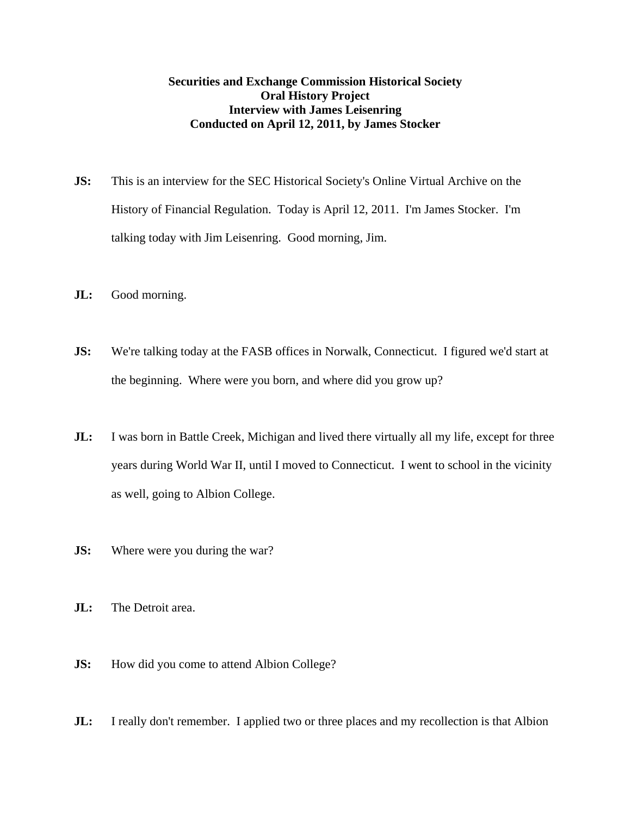## **Securities and Exchange Commission Historical Society Oral History Project Interview with James Leisenring Conducted on April 12, 2011, by James Stocker**

- **JS:** This is an interview for the SEC Historical Society's Online Virtual Archive on the History of Financial Regulation. Today is April 12, 2011. I'm James Stocker. I'm talking today with Jim Leisenring. Good morning, Jim.
- **JL:** Good morning.
- **JS:** We're talking today at the FASB offices in Norwalk, Connecticut. I figured we'd start at the beginning. Where were you born, and where did you grow up?
- **JL:** I was born in Battle Creek, Michigan and lived there virtually all my life, except for three years during World War II, until I moved to Connecticut. I went to school in the vicinity as well, going to Albion College.
- **JS:** Where were you during the war?
- **JL:** The Detroit area.
- **JS:** How did you come to attend Albion College?
- **JL:** I really don't remember. I applied two or three places and my recollection is that Albion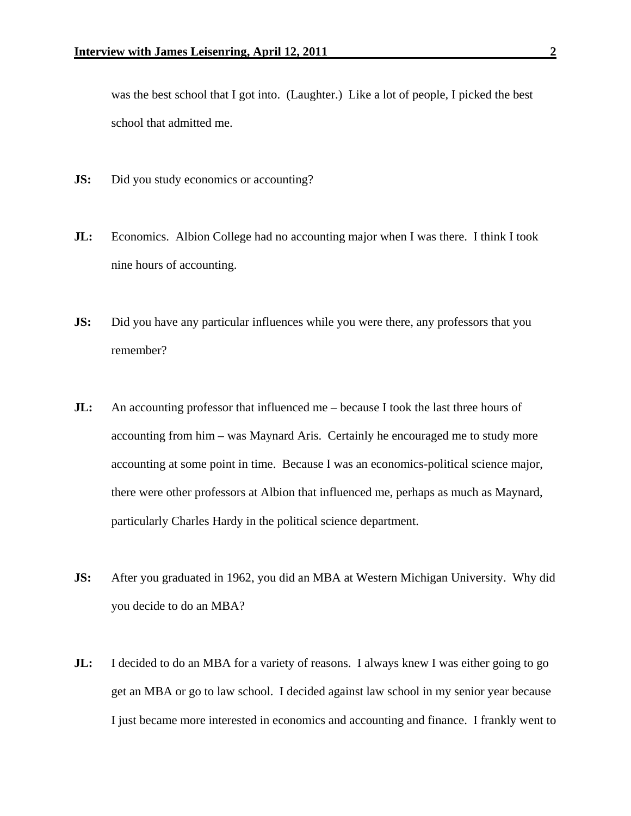was the best school that I got into. (Laughter.) Like a lot of people, I picked the best school that admitted me.

- **JS:** Did you study economics or accounting?
- **JL:** Economics. Albion College had no accounting major when I was there. I think I took nine hours of accounting.
- **JS:** Did you have any particular influences while you were there, any professors that you remember?
- **JL:** An accounting professor that influenced me because I took the last three hours of accounting from him – was Maynard Aris. Certainly he encouraged me to study more accounting at some point in time. Because I was an economics-political science major, there were other professors at Albion that influenced me, perhaps as much as Maynard, particularly Charles Hardy in the political science department.
- **JS:** After you graduated in 1962, you did an MBA at Western Michigan University. Why did you decide to do an MBA?
- **JL:** I decided to do an MBA for a variety of reasons. I always knew I was either going to go get an MBA or go to law school. I decided against law school in my senior year because I just became more interested in economics and accounting and finance. I frankly went to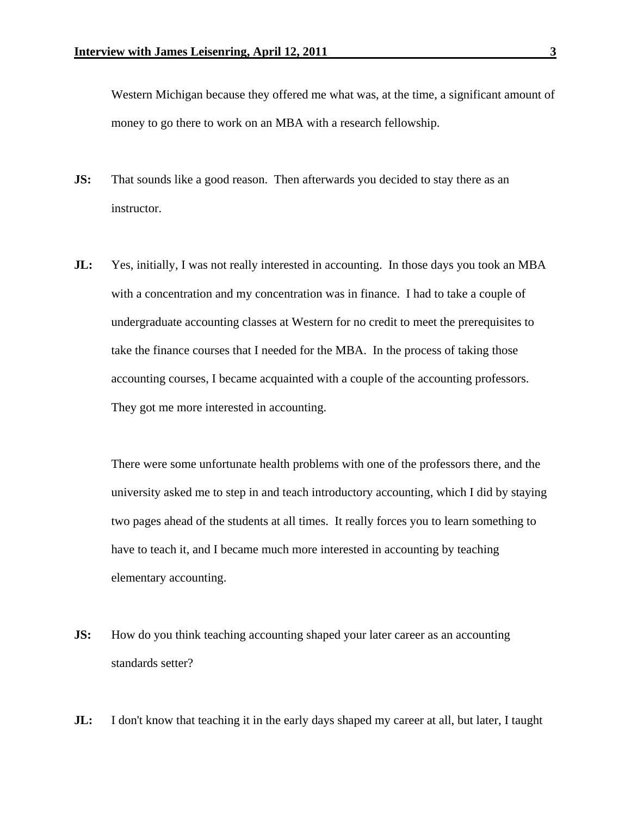Western Michigan because they offered me what was, at the time, a significant amount of money to go there to work on an MBA with a research fellowship.

- **JS:** That sounds like a good reason. Then afterwards you decided to stay there as an instructor.
- **JL:** Yes, initially, I was not really interested in accounting. In those days you took an MBA with a concentration and my concentration was in finance. I had to take a couple of undergraduate accounting classes at Western for no credit to meet the prerequisites to take the finance courses that I needed for the MBA. In the process of taking those accounting courses, I became acquainted with a couple of the accounting professors. They got me more interested in accounting.

 There were some unfortunate health problems with one of the professors there, and the university asked me to step in and teach introductory accounting, which I did by staying two pages ahead of the students at all times. It really forces you to learn something to have to teach it, and I became much more interested in accounting by teaching elementary accounting.

- **JS:** How do you think teaching accounting shaped your later career as an accounting standards setter?
- **JL:** I don't know that teaching it in the early days shaped my career at all, but later, I taught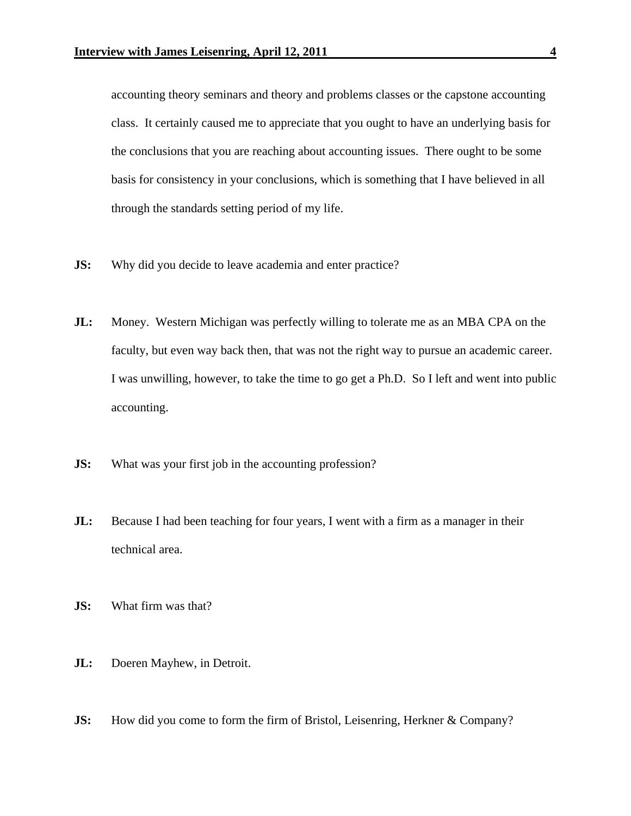accounting theory seminars and theory and problems classes or the capstone accounting class. It certainly caused me to appreciate that you ought to have an underlying basis for the conclusions that you are reaching about accounting issues. There ought to be some basis for consistency in your conclusions, which is something that I have believed in all through the standards setting period of my life.

- **JS:** Why did you decide to leave academia and enter practice?
- **JL:** Money. Western Michigan was perfectly willing to tolerate me as an MBA CPA on the faculty, but even way back then, that was not the right way to pursue an academic career. I was unwilling, however, to take the time to go get a Ph.D. So I left and went into public accounting.
- **JS:** What was your first job in the accounting profession?
- **JL:** Because I had been teaching for four years, I went with a firm as a manager in their technical area.
- **JS:** What firm was that?
- **JL:** Doeren Mayhew, in Detroit.
- **JS:** How did you come to form the firm of Bristol, Leisenring, Herkner & Company?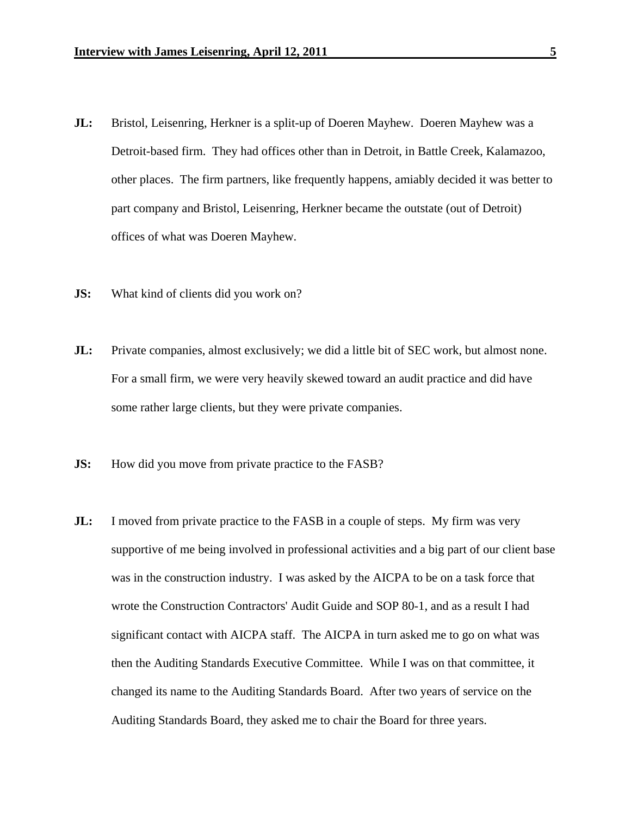- **JL:** Bristol, Leisenring, Herkner is a split-up of Doeren Mayhew. Doeren Mayhew was a Detroit-based firm. They had offices other than in Detroit, in Battle Creek, Kalamazoo, other places. The firm partners, like frequently happens, amiably decided it was better to part company and Bristol, Leisenring, Herkner became the outstate (out of Detroit) offices of what was Doeren Mayhew.
- **JS:** What kind of clients did you work on?
- **JL:** Private companies, almost exclusively; we did a little bit of SEC work, but almost none. For a small firm, we were very heavily skewed toward an audit practice and did have some rather large clients, but they were private companies.
- **JS:** How did you move from private practice to the FASB?
- **JL:** I moved from private practice to the FASB in a couple of steps. My firm was very supportive of me being involved in professional activities and a big part of our client base was in the construction industry. I was asked by the AICPA to be on a task force that wrote the Construction Contractors' Audit Guide and SOP 80-1, and as a result I had significant contact with AICPA staff. The AICPA in turn asked me to go on what was then the Auditing Standards Executive Committee. While I was on that committee, it changed its name to the Auditing Standards Board. After two years of service on the Auditing Standards Board, they asked me to chair the Board for three years.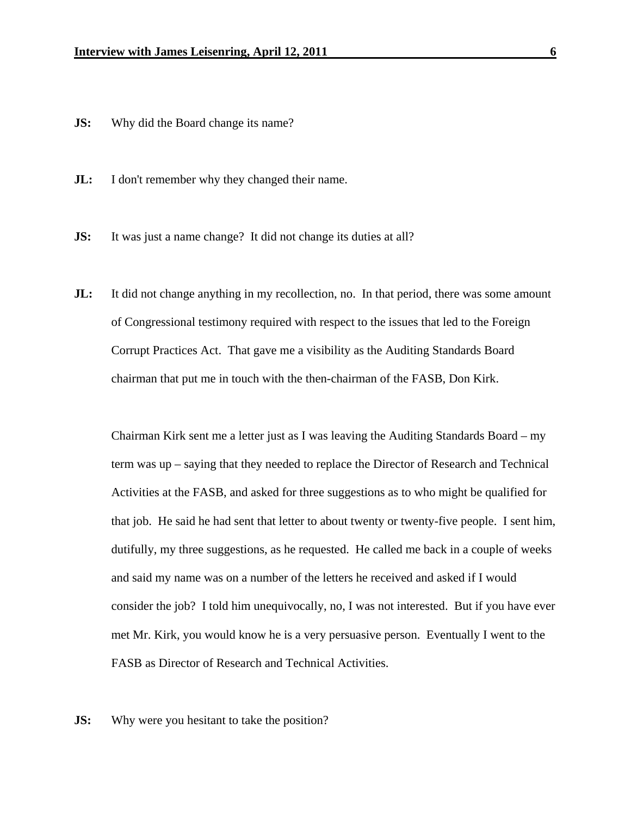**JS:** Why did the Board change its name?

**JL:** I don't remember why they changed their name.

**JS:** It was just a name change? It did not change its duties at all?

**JL:** It did not change anything in my recollection, no. In that period, there was some amount of Congressional testimony required with respect to the issues that led to the Foreign Corrupt Practices Act. That gave me a visibility as the Auditing Standards Board chairman that put me in touch with the then-chairman of the FASB, Don Kirk.

 Chairman Kirk sent me a letter just as I was leaving the Auditing Standards Board – my term was up – saying that they needed to replace the Director of Research and Technical Activities at the FASB, and asked for three suggestions as to who might be qualified for that job. He said he had sent that letter to about twenty or twenty-five people. I sent him, dutifully, my three suggestions, as he requested. He called me back in a couple of weeks and said my name was on a number of the letters he received and asked if I would consider the job? I told him unequivocally, no, I was not interested. But if you have ever met Mr. Kirk, you would know he is a very persuasive person. Eventually I went to the FASB as Director of Research and Technical Activities.

**JS:** Why were you hesitant to take the position?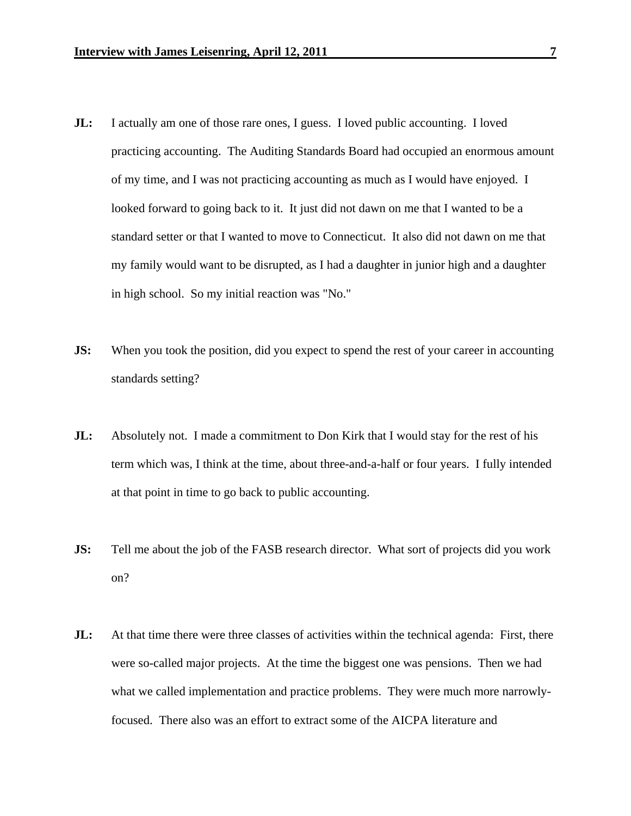- **JL:** I actually am one of those rare ones, I guess. I loved public accounting. I loved practicing accounting. The Auditing Standards Board had occupied an enormous amount of my time, and I was not practicing accounting as much as I would have enjoyed. I looked forward to going back to it. It just did not dawn on me that I wanted to be a standard setter or that I wanted to move to Connecticut. It also did not dawn on me that my family would want to be disrupted, as I had a daughter in junior high and a daughter in high school. So my initial reaction was "No."
- **JS:** When you took the position, did you expect to spend the rest of your career in accounting standards setting?
- **JL:** Absolutely not. I made a commitment to Don Kirk that I would stay for the rest of his term which was, I think at the time, about three-and-a-half or four years. I fully intended at that point in time to go back to public accounting.
- **JS:** Tell me about the job of the FASB research director. What sort of projects did you work on?
- **JL:** At that time there were three classes of activities within the technical agenda: First, there were so-called major projects. At the time the biggest one was pensions. Then we had what we called implementation and practice problems. They were much more narrowlyfocused. There also was an effort to extract some of the AICPA literature and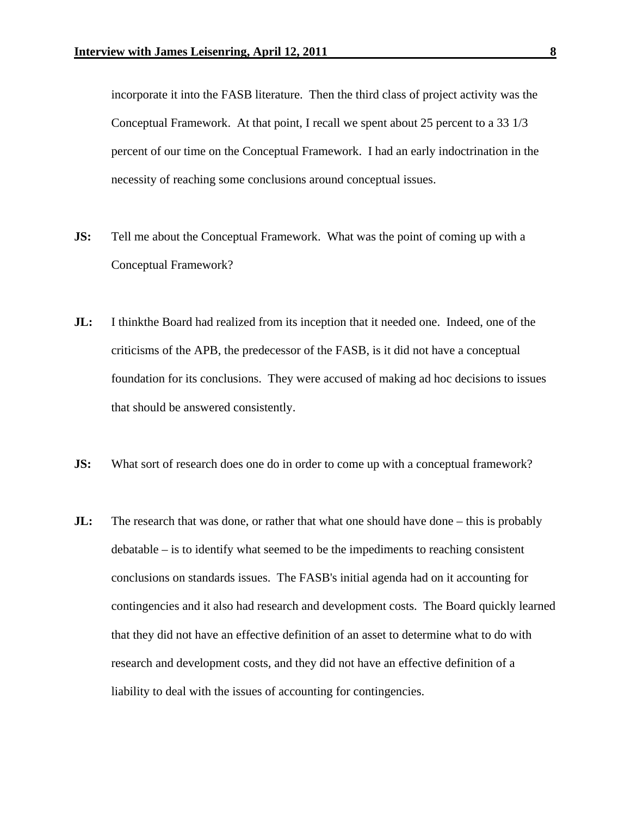incorporate it into the FASB literature. Then the third class of project activity was the Conceptual Framework. At that point, I recall we spent about 25 percent to a 33 1/3 percent of our time on the Conceptual Framework. I had an early indoctrination in the necessity of reaching some conclusions around conceptual issues.

- **JS:** Tell me about the Conceptual Framework. What was the point of coming up with a Conceptual Framework?
- **JL:** I thinkthe Board had realized from its inception that it needed one. Indeed, one of the criticisms of the APB, the predecessor of the FASB, is it did not have a conceptual foundation for its conclusions. They were accused of making ad hoc decisions to issues that should be answered consistently.
- **JS:** What sort of research does one do in order to come up with a conceptual framework?
- **JL:** The research that was done, or rather that what one should have done this is probably debatable – is to identify what seemed to be the impediments to reaching consistent conclusions on standards issues. The FASB's initial agenda had on it accounting for contingencies and it also had research and development costs. The Board quickly learned that they did not have an effective definition of an asset to determine what to do with research and development costs, and they did not have an effective definition of a liability to deal with the issues of accounting for contingencies.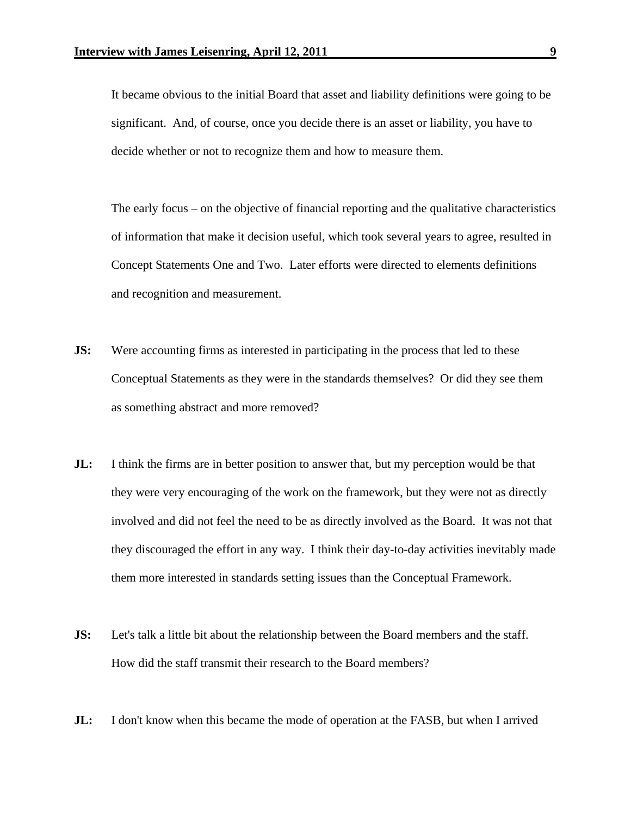It became obvious to the initial Board that asset and liability definitions were going to be significant. And, of course, once you decide there is an asset or liability, you have to decide whether or not to recognize them and how to measure them.

 The early focus – on the objective of financial reporting and the qualitative characteristics of information that make it decision useful, which took several years to agree, resulted in Concept Statements One and Two. Later efforts were directed to elements definitions and recognition and measurement.

- **JS:** Were accounting firms as interested in participating in the process that led to these Conceptual Statements as they were in the standards themselves? Or did they see them as something abstract and more removed?
- **JL:** I think the firms are in better position to answer that, but my perception would be that they were very encouraging of the work on the framework, but they were not as directly involved and did not feel the need to be as directly involved as the Board. It was not that they discouraged the effort in any way. I think their day-to-day activities inevitably made them more interested in standards setting issues than the Conceptual Framework.
- **JS:** Let's talk a little bit about the relationship between the Board members and the staff. How did the staff transmit their research to the Board members?
- **JL:** I don't know when this became the mode of operation at the FASB, but when I arrived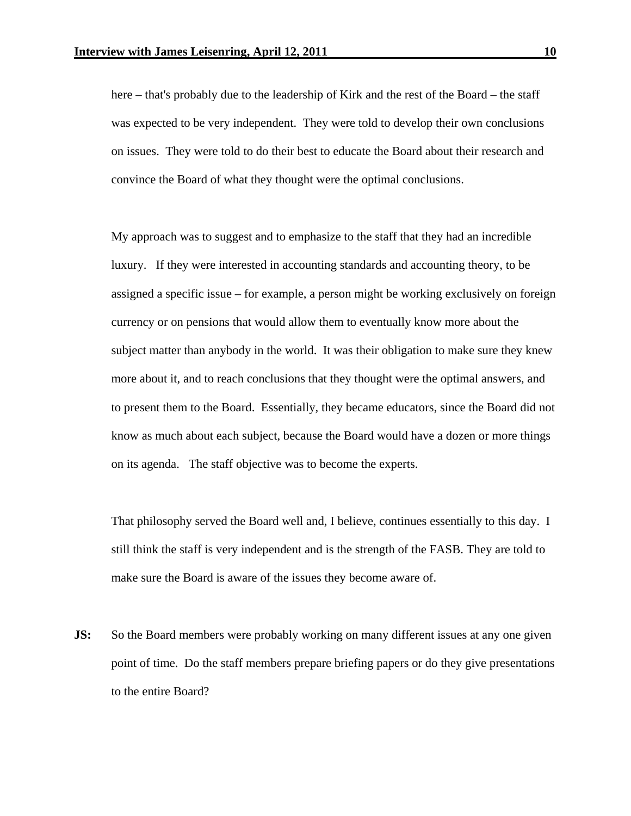here – that's probably due to the leadership of Kirk and the rest of the Board – the staff was expected to be very independent. They were told to develop their own conclusions on issues. They were told to do their best to educate the Board about their research and convince the Board of what they thought were the optimal conclusions.

 My approach was to suggest and to emphasize to the staff that they had an incredible luxury. If they were interested in accounting standards and accounting theory, to be assigned a specific issue – for example, a person might be working exclusively on foreign currency or on pensions that would allow them to eventually know more about the subject matter than anybody in the world. It was their obligation to make sure they knew more about it, and to reach conclusions that they thought were the optimal answers, and to present them to the Board. Essentially, they became educators, since the Board did not know as much about each subject, because the Board would have a dozen or more things on its agenda. The staff objective was to become the experts.

 That philosophy served the Board well and, I believe, continues essentially to this day. I still think the staff is very independent and is the strength of the FASB. They are told to make sure the Board is aware of the issues they become aware of.

**JS:** So the Board members were probably working on many different issues at any one given point of time. Do the staff members prepare briefing papers or do they give presentations to the entire Board?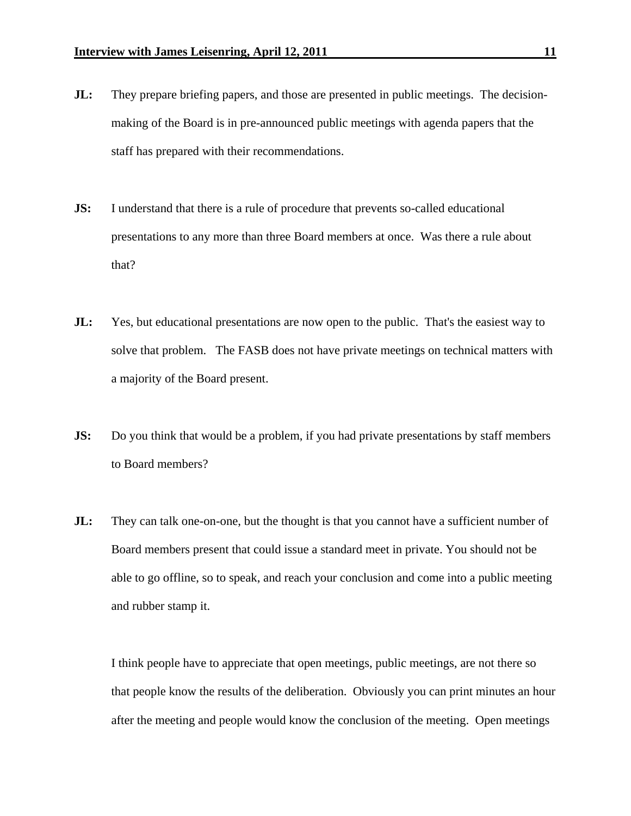- **JL:** They prepare briefing papers, and those are presented in public meetings. The decisionmaking of the Board is in pre-announced public meetings with agenda papers that the staff has prepared with their recommendations.
- **JS:** I understand that there is a rule of procedure that prevents so-called educational presentations to any more than three Board members at once. Was there a rule about that?
- **JL:** Yes, but educational presentations are now open to the public. That's the easiest way to solve that problem. The FASB does not have private meetings on technical matters with a majority of the Board present.
- **JS:** Do you think that would be a problem, if you had private presentations by staff members to Board members?
- **JL:** They can talk one-on-one, but the thought is that you cannot have a sufficient number of Board members present that could issue a standard meet in private. You should not be able to go offline, so to speak, and reach your conclusion and come into a public meeting and rubber stamp it.

 I think people have to appreciate that open meetings, public meetings, are not there so that people know the results of the deliberation. Obviously you can print minutes an hour after the meeting and people would know the conclusion of the meeting. Open meetings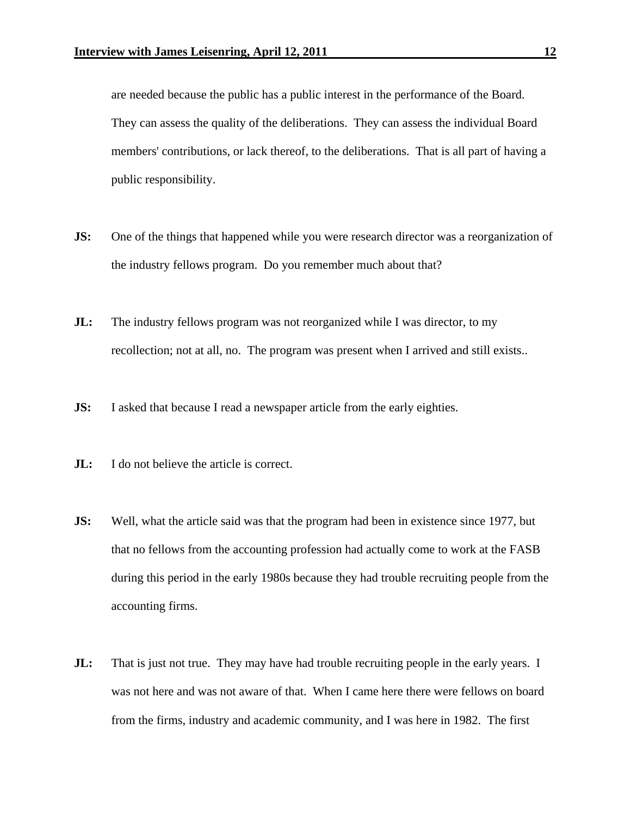are needed because the public has a public interest in the performance of the Board. They can assess the quality of the deliberations. They can assess the individual Board members' contributions, or lack thereof, to the deliberations. That is all part of having a public responsibility.

- **JS:** One of the things that happened while you were research director was a reorganization of the industry fellows program. Do you remember much about that?
- **JL:** The industry fellows program was not reorganized while I was director, to my recollection; not at all, no. The program was present when I arrived and still exists..
- **JS:** I asked that because I read a newspaper article from the early eighties.
- **JL:** I do not believe the article is correct.
- **JS:** Well, what the article said was that the program had been in existence since 1977, but that no fellows from the accounting profession had actually come to work at the FASB during this period in the early 1980s because they had trouble recruiting people from the accounting firms.
- **JL:** That is just not true. They may have had trouble recruiting people in the early years. I was not here and was not aware of that. When I came here there were fellows on board from the firms, industry and academic community, and I was here in 1982. The first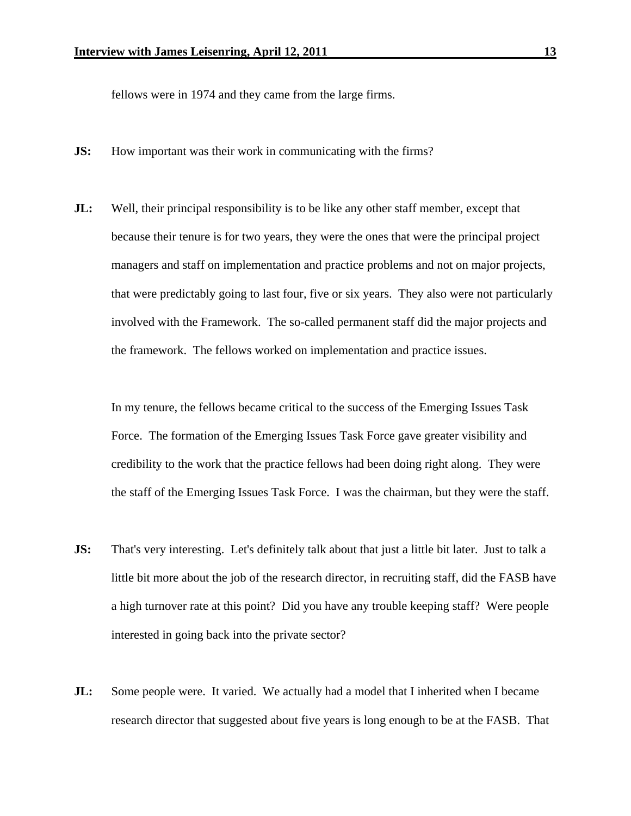fellows were in 1974 and they came from the large firms.

- **JS:** How important was their work in communicating with the firms?
- **JL:** Well, their principal responsibility is to be like any other staff member, except that because their tenure is for two years, they were the ones that were the principal project managers and staff on implementation and practice problems and not on major projects, that were predictably going to last four, five or six years. They also were not particularly involved with the Framework. The so-called permanent staff did the major projects and the framework. The fellows worked on implementation and practice issues.

 In my tenure, the fellows became critical to the success of the Emerging Issues Task Force. The formation of the Emerging Issues Task Force gave greater visibility and credibility to the work that the practice fellows had been doing right along. They were the staff of the Emerging Issues Task Force. I was the chairman, but they were the staff.

- **JS:** That's very interesting. Let's definitely talk about that just a little bit later. Just to talk a little bit more about the job of the research director, in recruiting staff, did the FASB have a high turnover rate at this point? Did you have any trouble keeping staff? Were people interested in going back into the private sector?
- **JL:** Some people were. It varied. We actually had a model that I inherited when I became research director that suggested about five years is long enough to be at the FASB. That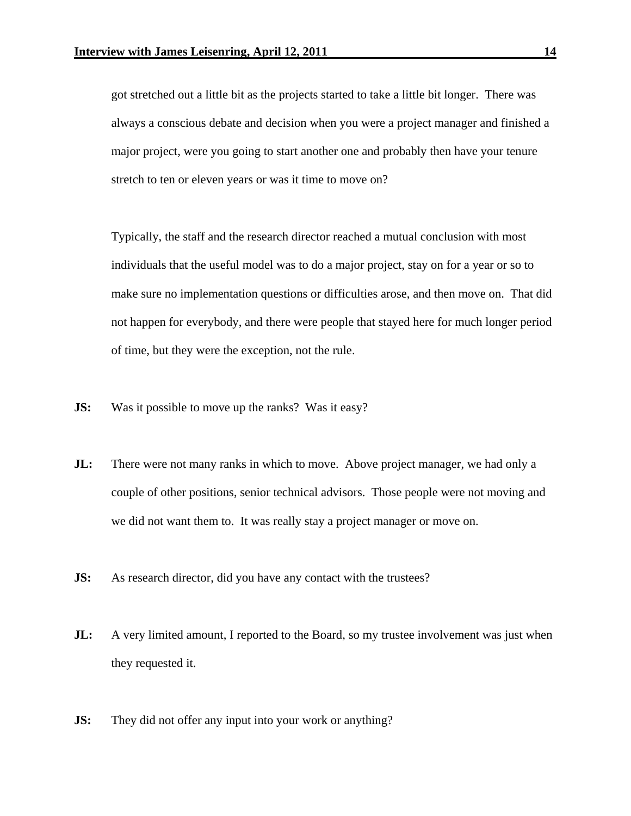got stretched out a little bit as the projects started to take a little bit longer. There was always a conscious debate and decision when you were a project manager and finished a major project, were you going to start another one and probably then have your tenure stretch to ten or eleven years or was it time to move on?

 Typically, the staff and the research director reached a mutual conclusion with most individuals that the useful model was to do a major project, stay on for a year or so to make sure no implementation questions or difficulties arose, and then move on. That did not happen for everybody, and there were people that stayed here for much longer period of time, but they were the exception, not the rule.

- **JS:** Was it possible to move up the ranks? Was it easy?
- **JL:** There were not many ranks in which to move. Above project manager, we had only a couple of other positions, senior technical advisors. Those people were not moving and we did not want them to. It was really stay a project manager or move on.
- **JS:** As research director, did you have any contact with the trustees?
- **JL:** A very limited amount, I reported to the Board, so my trustee involvement was just when they requested it.
- **JS:** They did not offer any input into your work or anything?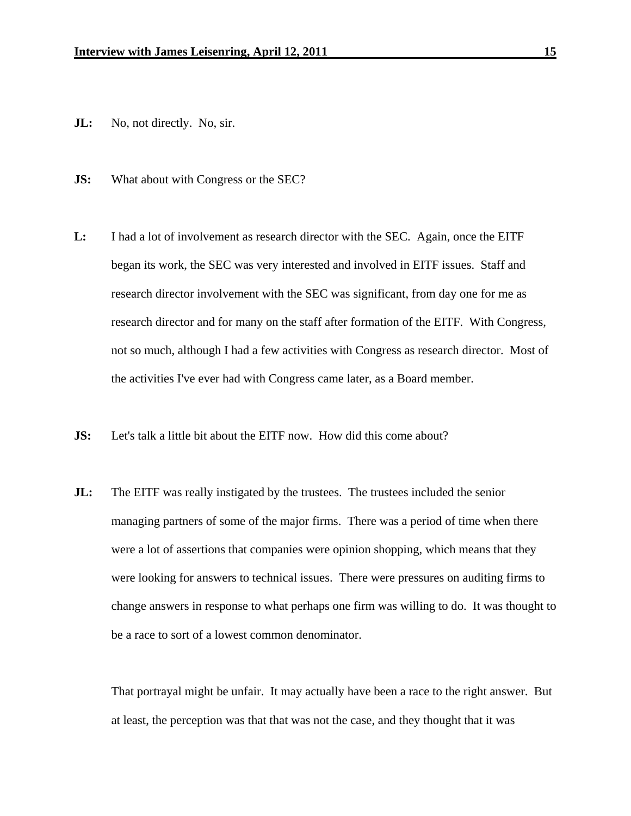- **JL:** No, not directly. No, sir.
- **JS:** What about with Congress or the SEC?
- **L:** I had a lot of involvement as research director with the SEC. Again, once the EITF began its work, the SEC was very interested and involved in EITF issues. Staff and research director involvement with the SEC was significant, from day one for me as research director and for many on the staff after formation of the EITF. With Congress, not so much, although I had a few activities with Congress as research director. Most of the activities I've ever had with Congress came later, as a Board member.
- **JS:** Let's talk a little bit about the EITF now. How did this come about?
- **JL:** The EITF was really instigated by the trustees. The trustees included the senior managing partners of some of the major firms. There was a period of time when there were a lot of assertions that companies were opinion shopping, which means that they were looking for answers to technical issues. There were pressures on auditing firms to change answers in response to what perhaps one firm was willing to do. It was thought to be a race to sort of a lowest common denominator.

 That portrayal might be unfair. It may actually have been a race to the right answer. But at least, the perception was that that was not the case, and they thought that it was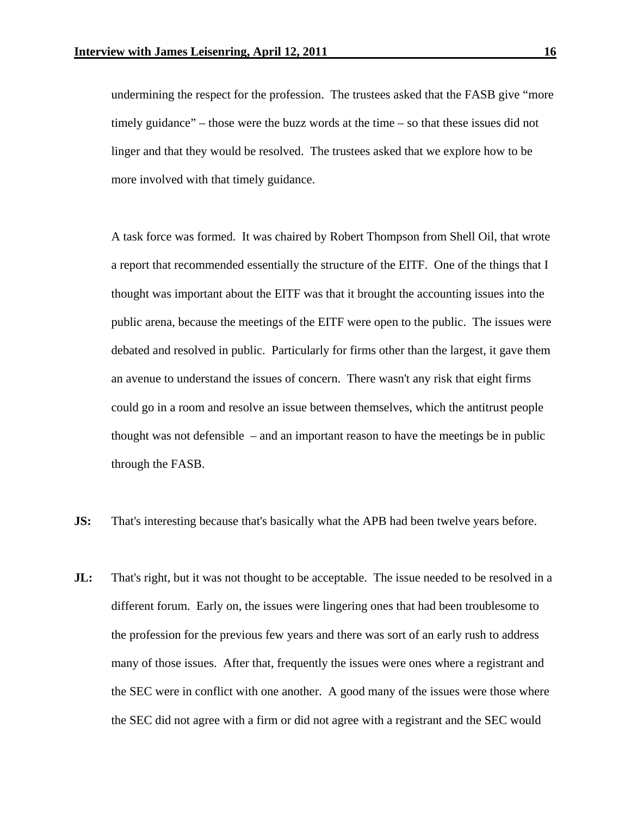undermining the respect for the profession. The trustees asked that the FASB give "more timely guidance" – those were the buzz words at the time – so that these issues did not linger and that they would be resolved. The trustees asked that we explore how to be more involved with that timely guidance.

 A task force was formed. It was chaired by Robert Thompson from Shell Oil, that wrote a report that recommended essentially the structure of the EITF. One of the things that I thought was important about the EITF was that it brought the accounting issues into the public arena, because the meetings of the EITF were open to the public. The issues were debated and resolved in public. Particularly for firms other than the largest, it gave them an avenue to understand the issues of concern. There wasn't any risk that eight firms could go in a room and resolve an issue between themselves, which the antitrust people thought was not defensible – and an important reason to have the meetings be in public through the FASB.

- **JS:** That's interesting because that's basically what the APB had been twelve years before.
- **JL:** That's right, but it was not thought to be acceptable. The issue needed to be resolved in a different forum. Early on, the issues were lingering ones that had been troublesome to the profession for the previous few years and there was sort of an early rush to address many of those issues. After that, frequently the issues were ones where a registrant and the SEC were in conflict with one another. A good many of the issues were those where the SEC did not agree with a firm or did not agree with a registrant and the SEC would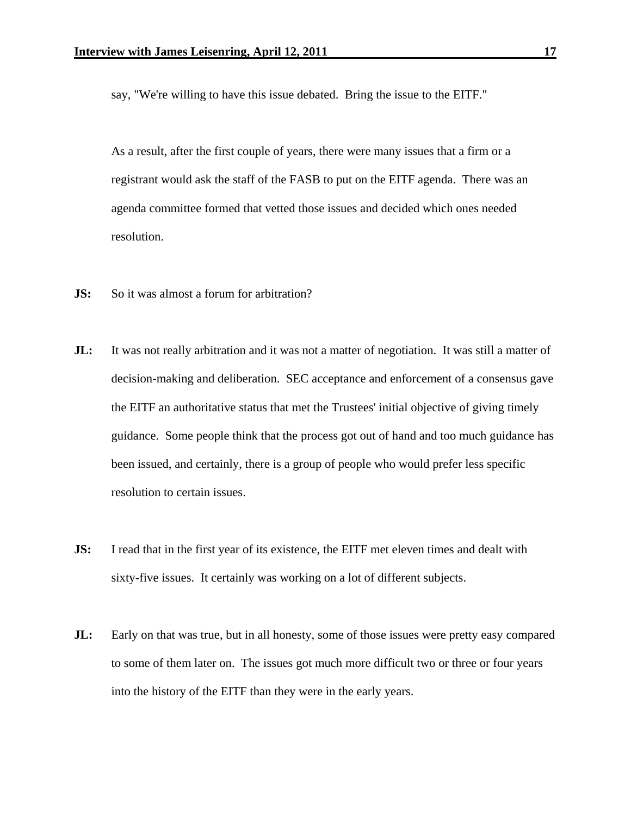say, "We're willing to have this issue debated. Bring the issue to the EITF."

 As a result, after the first couple of years, there were many issues that a firm or a registrant would ask the staff of the FASB to put on the EITF agenda. There was an agenda committee formed that vetted those issues and decided which ones needed resolution.

- **JS:** So it was almost a forum for arbitration?
- **JL:** It was not really arbitration and it was not a matter of negotiation. It was still a matter of decision-making and deliberation. SEC acceptance and enforcement of a consensus gave the EITF an authoritative status that met the Trustees' initial objective of giving timely guidance. Some people think that the process got out of hand and too much guidance has been issued, and certainly, there is a group of people who would prefer less specific resolution to certain issues.
- **JS:** I read that in the first year of its existence, the EITF met eleven times and dealt with sixty-five issues. It certainly was working on a lot of different subjects.
- **JL:** Early on that was true, but in all honesty, some of those issues were pretty easy compared to some of them later on. The issues got much more difficult two or three or four years into the history of the EITF than they were in the early years.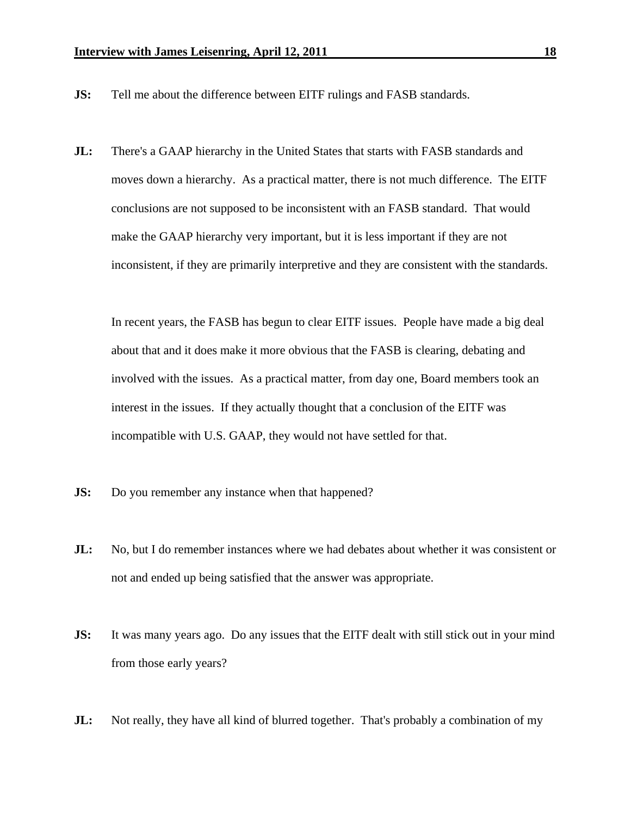- **JS:** Tell me about the difference between EITF rulings and FASB standards.
- **JL:** There's a GAAP hierarchy in the United States that starts with FASB standards and moves down a hierarchy. As a practical matter, there is not much difference. The EITF conclusions are not supposed to be inconsistent with an FASB standard. That would make the GAAP hierarchy very important, but it is less important if they are not inconsistent, if they are primarily interpretive and they are consistent with the standards.

 In recent years, the FASB has begun to clear EITF issues. People have made a big deal about that and it does make it more obvious that the FASB is clearing, debating and involved with the issues. As a practical matter, from day one, Board members took an interest in the issues. If they actually thought that a conclusion of the EITF was incompatible with U.S. GAAP, they would not have settled for that.

- **JS:** Do you remember any instance when that happened?
- **JL:** No, but I do remember instances where we had debates about whether it was consistent or not and ended up being satisfied that the answer was appropriate.
- **JS:** It was many years ago. Do any issues that the EITF dealt with still stick out in your mind from those early years?
- **JL:** Not really, they have all kind of blurred together. That's probably a combination of my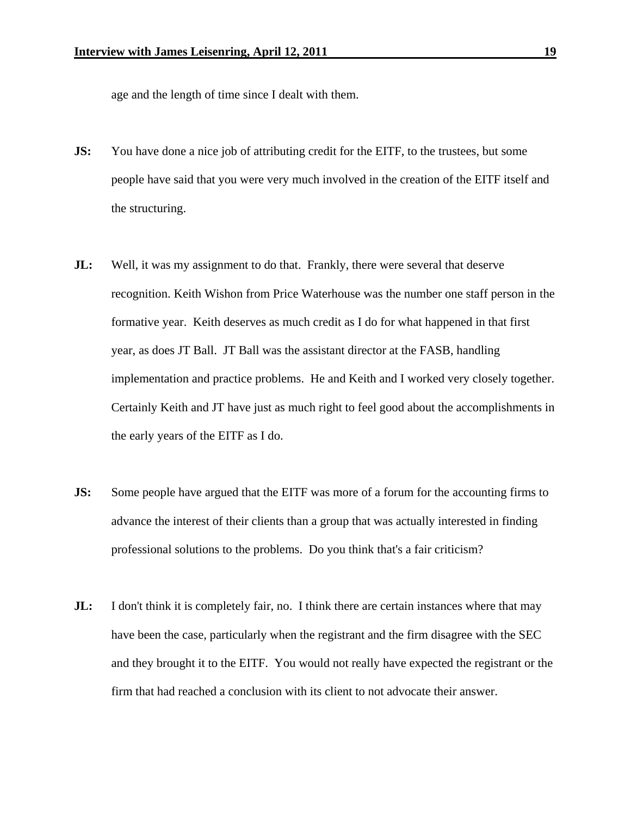age and the length of time since I dealt with them.

- **JS:** You have done a nice job of attributing credit for the EITF, to the trustees, but some people have said that you were very much involved in the creation of the EITF itself and the structuring.
- **JL:** Well, it was my assignment to do that. Frankly, there were several that deserve recognition. Keith Wishon from Price Waterhouse was the number one staff person in the formative year. Keith deserves as much credit as I do for what happened in that first year, as does JT Ball. JT Ball was the assistant director at the FASB, handling implementation and practice problems. He and Keith and I worked very closely together. Certainly Keith and JT have just as much right to feel good about the accomplishments in the early years of the EITF as I do.
- **JS:** Some people have argued that the EITF was more of a forum for the accounting firms to advance the interest of their clients than a group that was actually interested in finding professional solutions to the problems. Do you think that's a fair criticism?
- **JL:** I don't think it is completely fair, no. I think there are certain instances where that may have been the case, particularly when the registrant and the firm disagree with the SEC and they brought it to the EITF. You would not really have expected the registrant or the firm that had reached a conclusion with its client to not advocate their answer.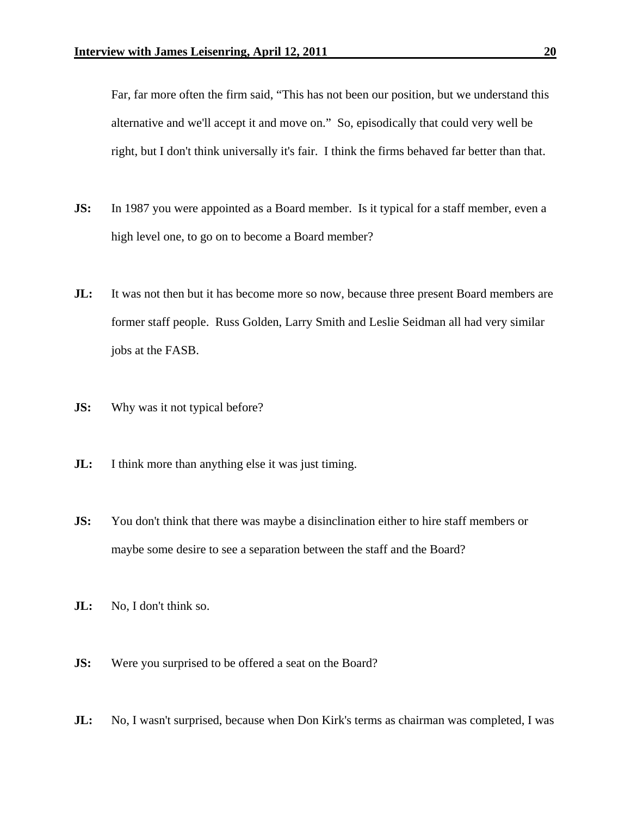Far, far more often the firm said, "This has not been our position, but we understand this alternative and we'll accept it and move on." So, episodically that could very well be right, but I don't think universally it's fair. I think the firms behaved far better than that.

- **JS:** In 1987 you were appointed as a Board member. Is it typical for a staff member, even a high level one, to go on to become a Board member?
- **JL:** It was not then but it has become more so now, because three present Board members are former staff people. Russ Golden, Larry Smith and Leslie Seidman all had very similar jobs at the FASB.
- **JS:** Why was it not typical before?
- **JL:** I think more than anything else it was just timing.
- **JS:** You don't think that there was maybe a disinclination either to hire staff members or maybe some desire to see a separation between the staff and the Board?
- **JL:** No, I don't think so.
- **JS:** Were you surprised to be offered a seat on the Board?
- **JL:** No, I wasn't surprised, because when Don Kirk's terms as chairman was completed, I was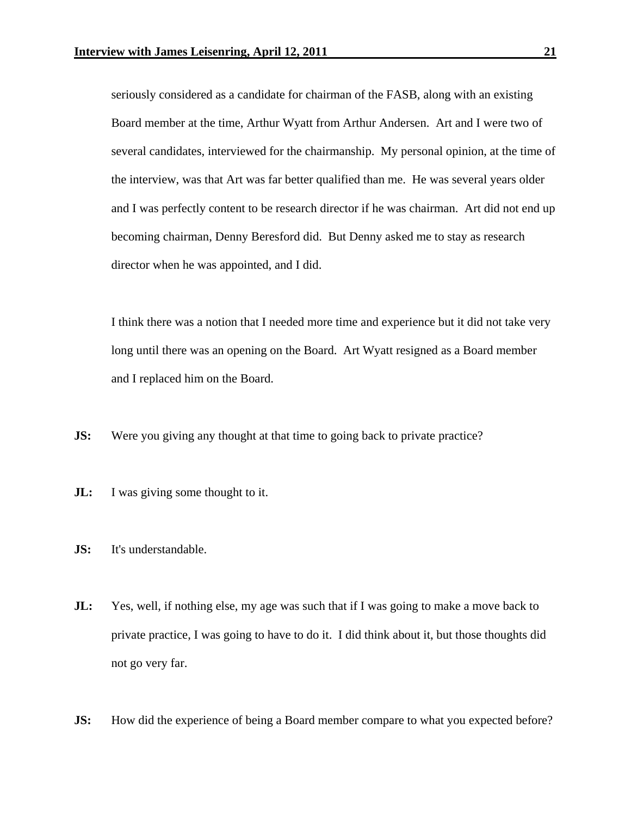seriously considered as a candidate for chairman of the FASB, along with an existing Board member at the time, Arthur Wyatt from Arthur Andersen. Art and I were two of several candidates, interviewed for the chairmanship. My personal opinion, at the time of the interview, was that Art was far better qualified than me. He was several years older and I was perfectly content to be research director if he was chairman. Art did not end up becoming chairman, Denny Beresford did. But Denny asked me to stay as research director when he was appointed, and I did.

 I think there was a notion that I needed more time and experience but it did not take very long until there was an opening on the Board. Art Wyatt resigned as a Board member and I replaced him on the Board.

- **JS:** Were you giving any thought at that time to going back to private practice?
- **JL:** I was giving some thought to it.
- **JS:** It's understandable.
- **JL:** Yes, well, if nothing else, my age was such that if I was going to make a move back to private practice, I was going to have to do it. I did think about it, but those thoughts did not go very far.
- **JS:** How did the experience of being a Board member compare to what you expected before?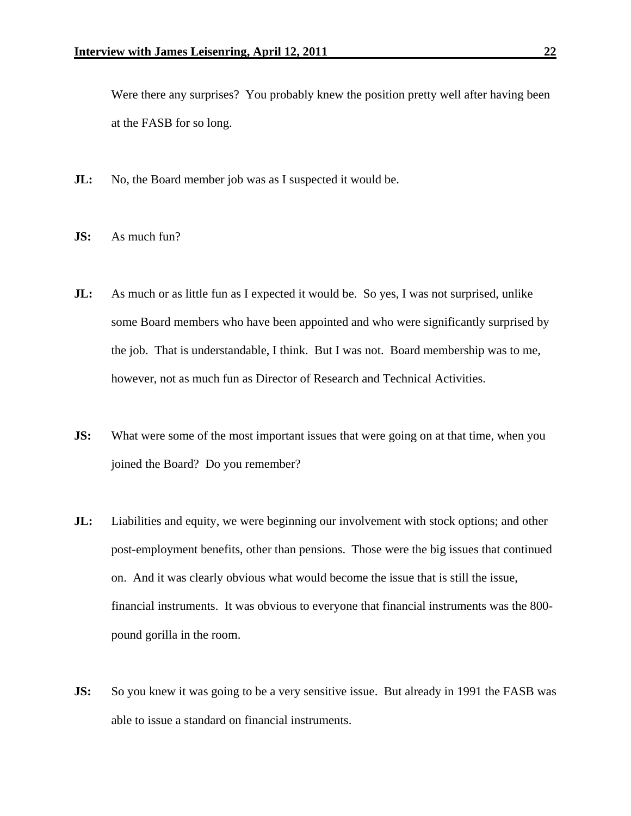Were there any surprises? You probably knew the position pretty well after having been at the FASB for so long.

- **JL:** No, the Board member job was as I suspected it would be.
- **JS:** As much fun?
- **JL:** As much or as little fun as I expected it would be. So yes, I was not surprised, unlike some Board members who have been appointed and who were significantly surprised by the job. That is understandable, I think. But I was not. Board membership was to me, however, not as much fun as Director of Research and Technical Activities.
- **JS:** What were some of the most important issues that were going on at that time, when you joined the Board? Do you remember?
- **JL:** Liabilities and equity, we were beginning our involvement with stock options; and other post-employment benefits, other than pensions. Those were the big issues that continued on. And it was clearly obvious what would become the issue that is still the issue, financial instruments. It was obvious to everyone that financial instruments was the 800 pound gorilla in the room.
- **JS:** So you knew it was going to be a very sensitive issue. But already in 1991 the FASB was able to issue a standard on financial instruments.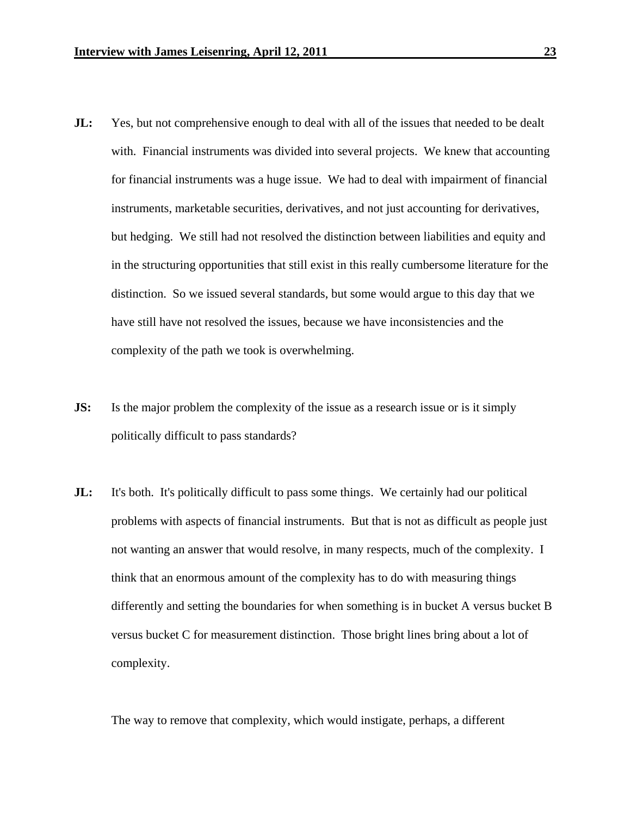- **JL:** Yes, but not comprehensive enough to deal with all of the issues that needed to be dealt with. Financial instruments was divided into several projects. We knew that accounting for financial instruments was a huge issue. We had to deal with impairment of financial instruments, marketable securities, derivatives, and not just accounting for derivatives, but hedging. We still had not resolved the distinction between liabilities and equity and in the structuring opportunities that still exist in this really cumbersome literature for the distinction. So we issued several standards, but some would argue to this day that we have still have not resolved the issues, because we have inconsistencies and the complexity of the path we took is overwhelming.
- **JS:** Is the major problem the complexity of the issue as a research issue or is it simply politically difficult to pass standards?
- **JL:** It's both. It's politically difficult to pass some things. We certainly had our political problems with aspects of financial instruments. But that is not as difficult as people just not wanting an answer that would resolve, in many respects, much of the complexity. I think that an enormous amount of the complexity has to do with measuring things differently and setting the boundaries for when something is in bucket A versus bucket B versus bucket C for measurement distinction. Those bright lines bring about a lot of complexity.

The way to remove that complexity, which would instigate, perhaps, a different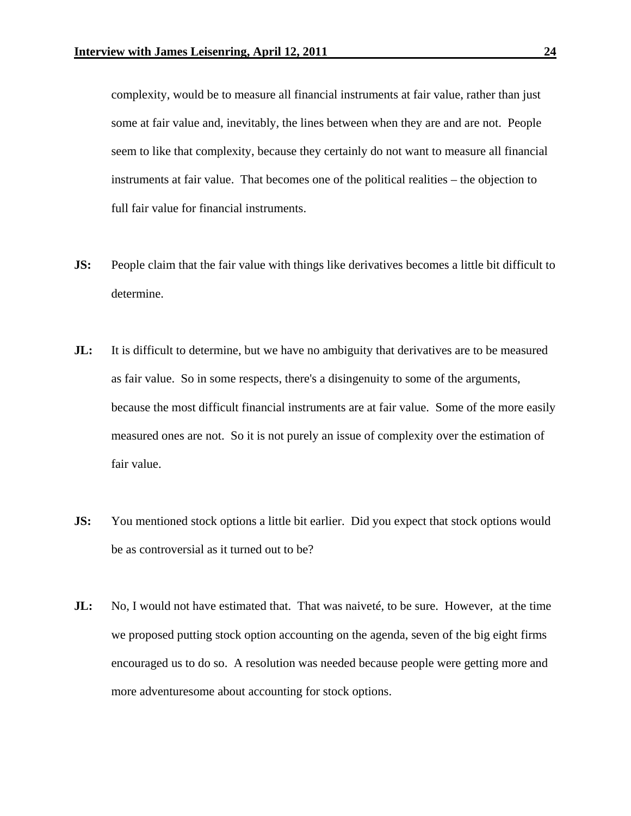complexity, would be to measure all financial instruments at fair value, rather than just some at fair value and, inevitably, the lines between when they are and are not. People seem to like that complexity, because they certainly do not want to measure all financial instruments at fair value. That becomes one of the political realities – the objection to full fair value for financial instruments.

- **JS:** People claim that the fair value with things like derivatives becomes a little bit difficult to determine.
- **JL:** It is difficult to determine, but we have no ambiguity that derivatives are to be measured as fair value. So in some respects, there's a disingenuity to some of the arguments, because the most difficult financial instruments are at fair value. Some of the more easily measured ones are not. So it is not purely an issue of complexity over the estimation of fair value.
- **JS:** You mentioned stock options a little bit earlier. Did you expect that stock options would be as controversial as it turned out to be?
- **JL:** No, I would not have estimated that. That was naiveté, to be sure. However, at the time we proposed putting stock option accounting on the agenda, seven of the big eight firms encouraged us to do so. A resolution was needed because people were getting more and more adventuresome about accounting for stock options.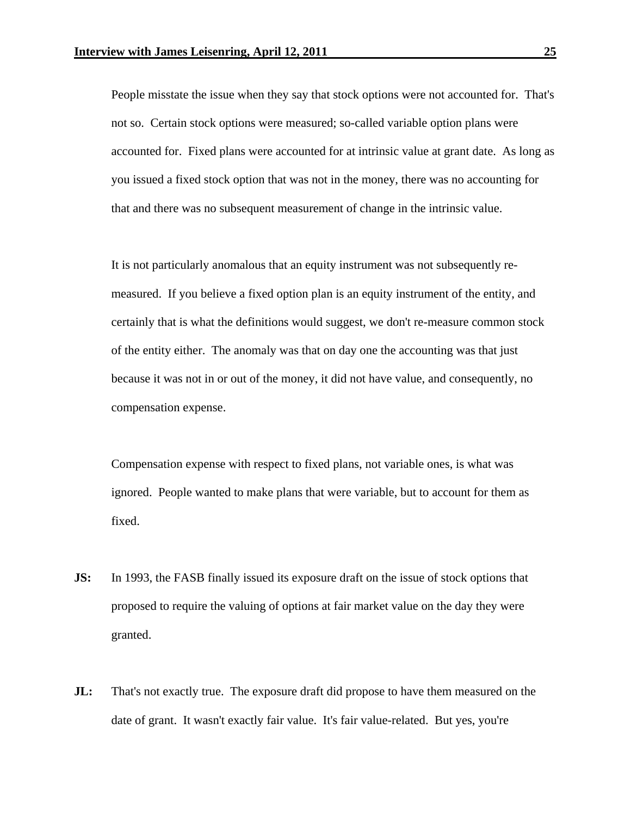People misstate the issue when they say that stock options were not accounted for. That's not so. Certain stock options were measured; so-called variable option plans were accounted for. Fixed plans were accounted for at intrinsic value at grant date. As long as you issued a fixed stock option that was not in the money, there was no accounting for that and there was no subsequent measurement of change in the intrinsic value.

 It is not particularly anomalous that an equity instrument was not subsequently remeasured. If you believe a fixed option plan is an equity instrument of the entity, and certainly that is what the definitions would suggest, we don't re-measure common stock of the entity either. The anomaly was that on day one the accounting was that just because it was not in or out of the money, it did not have value, and consequently, no compensation expense.

 Compensation expense with respect to fixed plans, not variable ones, is what was ignored. People wanted to make plans that were variable, but to account for them as fixed.

- **JS:** In 1993, the FASB finally issued its exposure draft on the issue of stock options that proposed to require the valuing of options at fair market value on the day they were granted.
- **JL:** That's not exactly true. The exposure draft did propose to have them measured on the date of grant. It wasn't exactly fair value. It's fair value-related. But yes, you're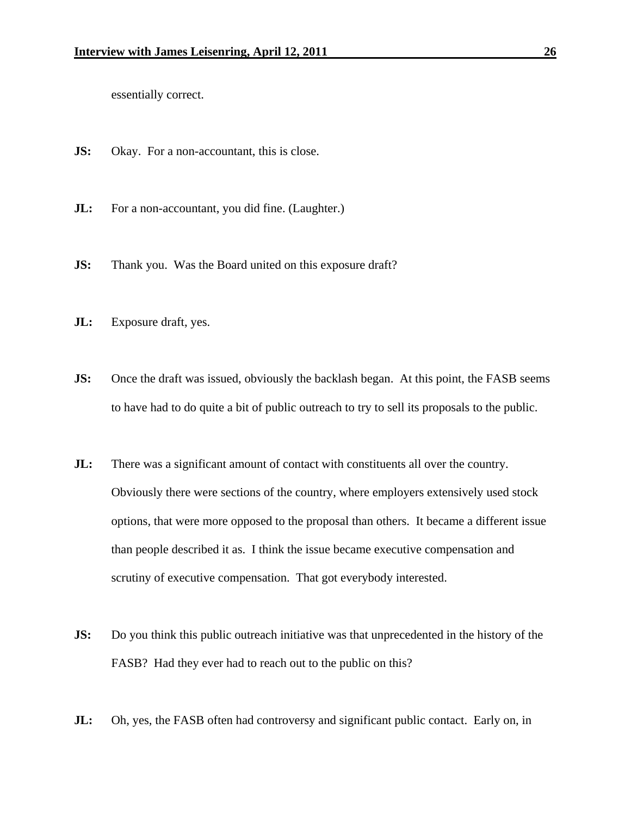essentially correct.

- **JS:** Okay. For a non-accountant, this is close.
- **JL:** For a non-accountant, you did fine. (Laughter.)
- **JS:** Thank you. Was the Board united on this exposure draft?
- **JL:** Exposure draft, yes.
- **JS:** Once the draft was issued, obviously the backlash began. At this point, the FASB seems to have had to do quite a bit of public outreach to try to sell its proposals to the public.
- **JL:** There was a significant amount of contact with constituents all over the country. Obviously there were sections of the country, where employers extensively used stock options, that were more opposed to the proposal than others. It became a different issue than people described it as. I think the issue became executive compensation and scrutiny of executive compensation. That got everybody interested.
- **JS:** Do you think this public outreach initiative was that unprecedented in the history of the FASB? Had they ever had to reach out to the public on this?
- **JL:** Oh, yes, the FASB often had controversy and significant public contact. Early on, in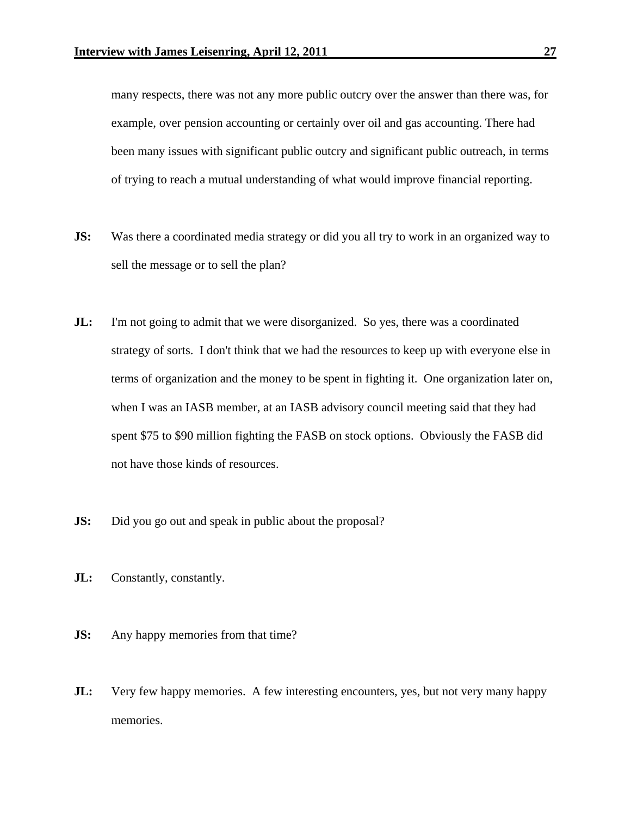many respects, there was not any more public outcry over the answer than there was, for example, over pension accounting or certainly over oil and gas accounting. There had been many issues with significant public outcry and significant public outreach, in terms of trying to reach a mutual understanding of what would improve financial reporting.

- **JS:** Was there a coordinated media strategy or did you all try to work in an organized way to sell the message or to sell the plan?
- **JL:** I'm not going to admit that we were disorganized. So yes, there was a coordinated strategy of sorts. I don't think that we had the resources to keep up with everyone else in terms of organization and the money to be spent in fighting it. One organization later on, when I was an IASB member, at an IASB advisory council meeting said that they had spent \$75 to \$90 million fighting the FASB on stock options. Obviously the FASB did not have those kinds of resources.
- **JS:** Did you go out and speak in public about the proposal?
- **JL:** Constantly, constantly.
- **JS:** Any happy memories from that time?
- **JL:** Very few happy memories. A few interesting encounters, yes, but not very many happy memories.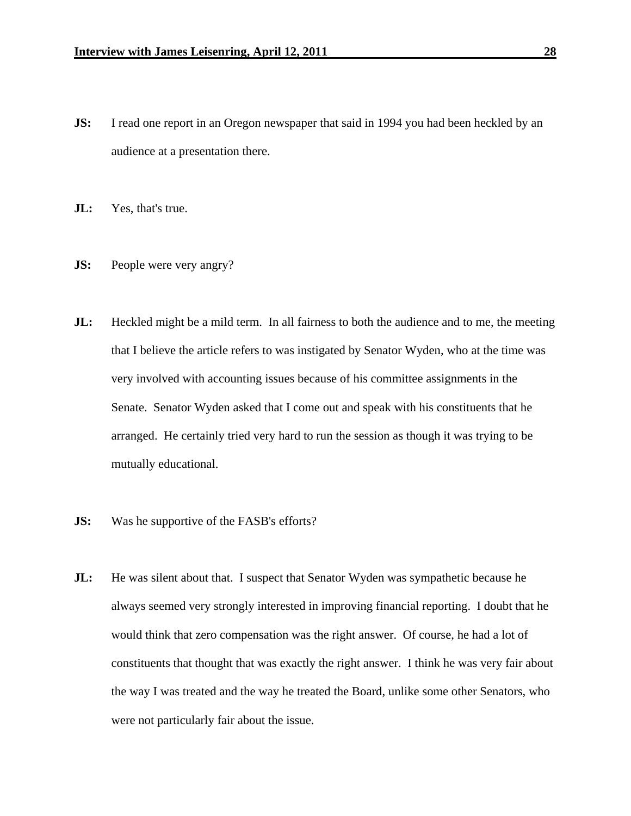- **JS:** I read one report in an Oregon newspaper that said in 1994 you had been heckled by an audience at a presentation there.
- **JL:** Yes, that's true.
- **JS:** People were very angry?
- **JL:** Heckled might be a mild term. In all fairness to both the audience and to me, the meeting that I believe the article refers to was instigated by Senator Wyden, who at the time was very involved with accounting issues because of his committee assignments in the Senate. Senator Wyden asked that I come out and speak with his constituents that he arranged. He certainly tried very hard to run the session as though it was trying to be mutually educational.
- **JS:** Was he supportive of the FASB's efforts?
- **JL:** He was silent about that. I suspect that Senator Wyden was sympathetic because he always seemed very strongly interested in improving financial reporting. I doubt that he would think that zero compensation was the right answer. Of course, he had a lot of constituents that thought that was exactly the right answer. I think he was very fair about the way I was treated and the way he treated the Board, unlike some other Senators, who were not particularly fair about the issue.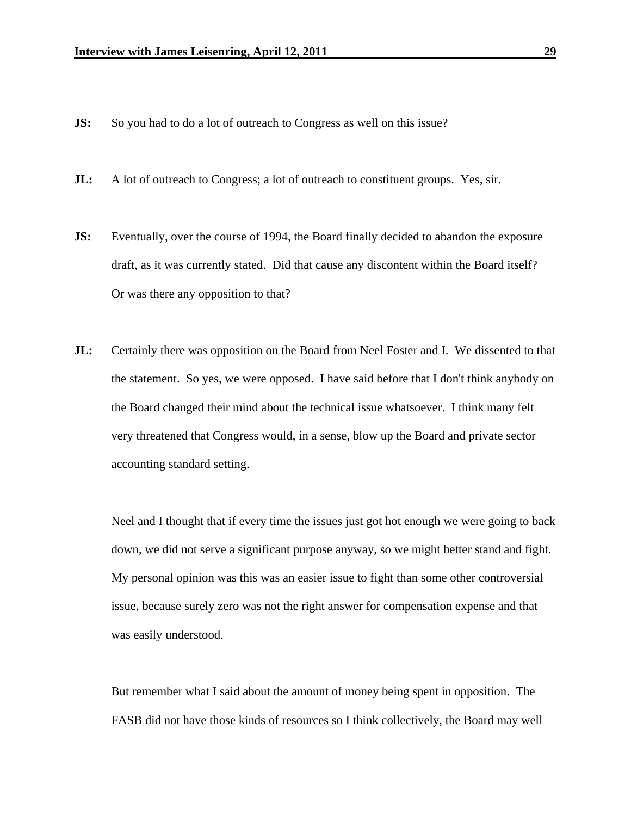- **JS:** So you had to do a lot of outreach to Congress as well on this issue?
- **JL:** A lot of outreach to Congress; a lot of outreach to constituent groups. Yes, sir.
- **JS:** Eventually, over the course of 1994, the Board finally decided to abandon the exposure draft, as it was currently stated. Did that cause any discontent within the Board itself? Or was there any opposition to that?
- **JL:** Certainly there was opposition on the Board from Neel Foster and I. We dissented to that the statement. So yes, we were opposed. I have said before that I don't think anybody on the Board changed their mind about the technical issue whatsoever. I think many felt very threatened that Congress would, in a sense, blow up the Board and private sector accounting standard setting.

 Neel and I thought that if every time the issues just got hot enough we were going to back down, we did not serve a significant purpose anyway, so we might better stand and fight. My personal opinion was this was an easier issue to fight than some other controversial issue, because surely zero was not the right answer for compensation expense and that was easily understood.

 But remember what I said about the amount of money being spent in opposition. The FASB did not have those kinds of resources so I think collectively, the Board may well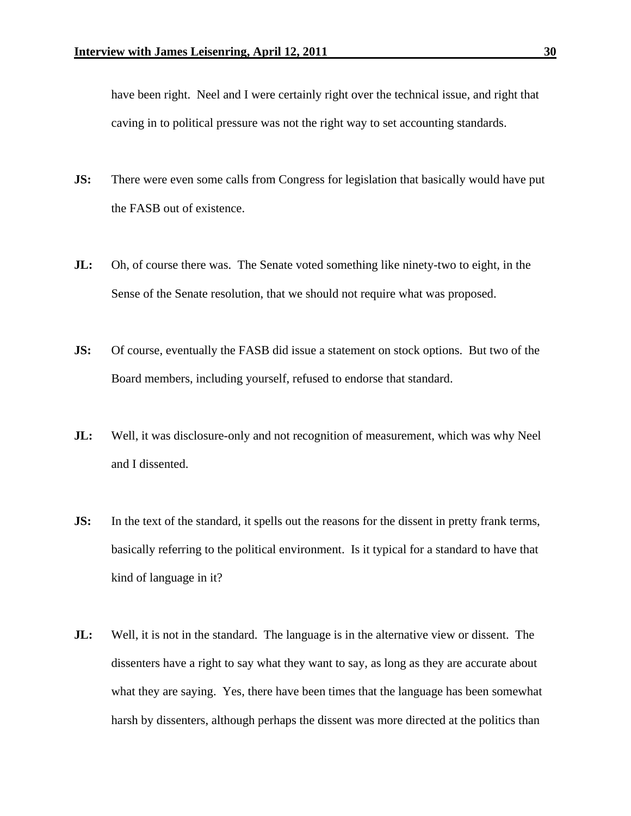have been right. Neel and I were certainly right over the technical issue, and right that caving in to political pressure was not the right way to set accounting standards.

- **JS:** There were even some calls from Congress for legislation that basically would have put the FASB out of existence.
- **JL:** Oh, of course there was. The Senate voted something like ninety-two to eight, in the Sense of the Senate resolution, that we should not require what was proposed.
- **JS:** Of course, eventually the FASB did issue a statement on stock options. But two of the Board members, including yourself, refused to endorse that standard.
- **JL:** Well, it was disclosure-only and not recognition of measurement, which was why Neel and I dissented.
- **JS:** In the text of the standard, it spells out the reasons for the dissent in pretty frank terms, basically referring to the political environment. Is it typical for a standard to have that kind of language in it?
- **JL:** Well, it is not in the standard. The language is in the alternative view or dissent. The dissenters have a right to say what they want to say, as long as they are accurate about what they are saying. Yes, there have been times that the language has been somewhat harsh by dissenters, although perhaps the dissent was more directed at the politics than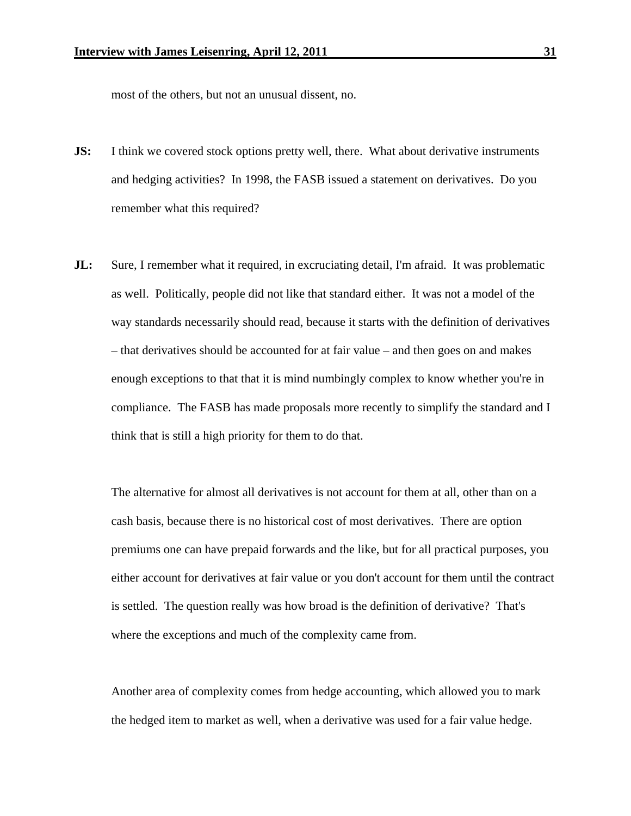most of the others, but not an unusual dissent, no.

- **JS:** I think we covered stock options pretty well, there. What about derivative instruments and hedging activities? In 1998, the FASB issued a statement on derivatives. Do you remember what this required?
- **JL:** Sure, I remember what it required, in excruciating detail, I'm afraid. It was problematic as well. Politically, people did not like that standard either. It was not a model of the way standards necessarily should read, because it starts with the definition of derivatives – that derivatives should be accounted for at fair value – and then goes on and makes enough exceptions to that that it is mind numbingly complex to know whether you're in compliance. The FASB has made proposals more recently to simplify the standard and I think that is still a high priority for them to do that.

 The alternative for almost all derivatives is not account for them at all, other than on a cash basis, because there is no historical cost of most derivatives. There are option premiums one can have prepaid forwards and the like, but for all practical purposes, you either account for derivatives at fair value or you don't account for them until the contract is settled. The question really was how broad is the definition of derivative? That's where the exceptions and much of the complexity came from.

 Another area of complexity comes from hedge accounting, which allowed you to mark the hedged item to market as well, when a derivative was used for a fair value hedge.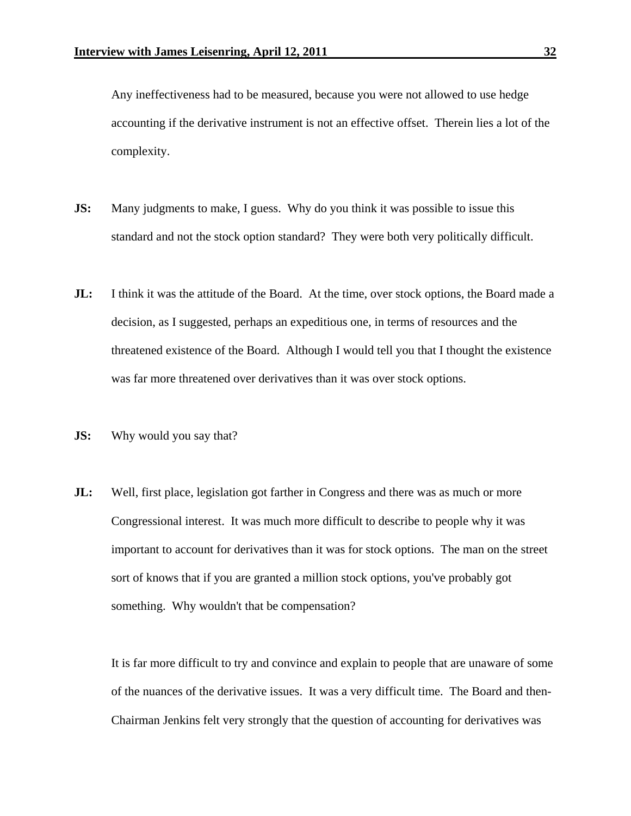Any ineffectiveness had to be measured, because you were not allowed to use hedge accounting if the derivative instrument is not an effective offset. Therein lies a lot of the complexity.

- **JS:** Many judgments to make, I guess. Why do you think it was possible to issue this standard and not the stock option standard? They were both very politically difficult.
- **JL:** I think it was the attitude of the Board. At the time, over stock options, the Board made a decision, as I suggested, perhaps an expeditious one, in terms of resources and the threatened existence of the Board. Although I would tell you that I thought the existence was far more threatened over derivatives than it was over stock options.
- **JS:** Why would you say that?
- **JL:** Well, first place, legislation got farther in Congress and there was as much or more Congressional interest. It was much more difficult to describe to people why it was important to account for derivatives than it was for stock options. The man on the street sort of knows that if you are granted a million stock options, you've probably got something. Why wouldn't that be compensation?

It is far more difficult to try and convince and explain to people that are unaware of some of the nuances of the derivative issues. It was a very difficult time. The Board and then-Chairman Jenkins felt very strongly that the question of accounting for derivatives was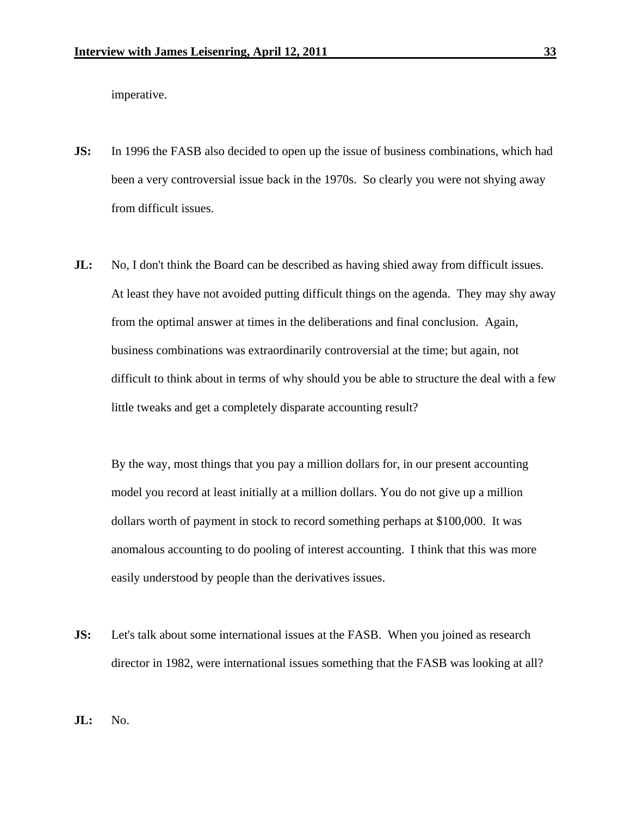imperative.

- **JS:** In 1996 the FASB also decided to open up the issue of business combinations, which had been a very controversial issue back in the 1970s. So clearly you were not shying away from difficult issues.
- **JL:** No, I don't think the Board can be described as having shied away from difficult issues. At least they have not avoided putting difficult things on the agenda. They may shy away from the optimal answer at times in the deliberations and final conclusion. Again, business combinations was extraordinarily controversial at the time; but again, not difficult to think about in terms of why should you be able to structure the deal with a few little tweaks and get a completely disparate accounting result?

 By the way, most things that you pay a million dollars for, in our present accounting model you record at least initially at a million dollars. You do not give up a million dollars worth of payment in stock to record something perhaps at \$100,000. It was anomalous accounting to do pooling of interest accounting. I think that this was more easily understood by people than the derivatives issues.

**JS:** Let's talk about some international issues at the FASB. When you joined as research director in 1982, were international issues something that the FASB was looking at all?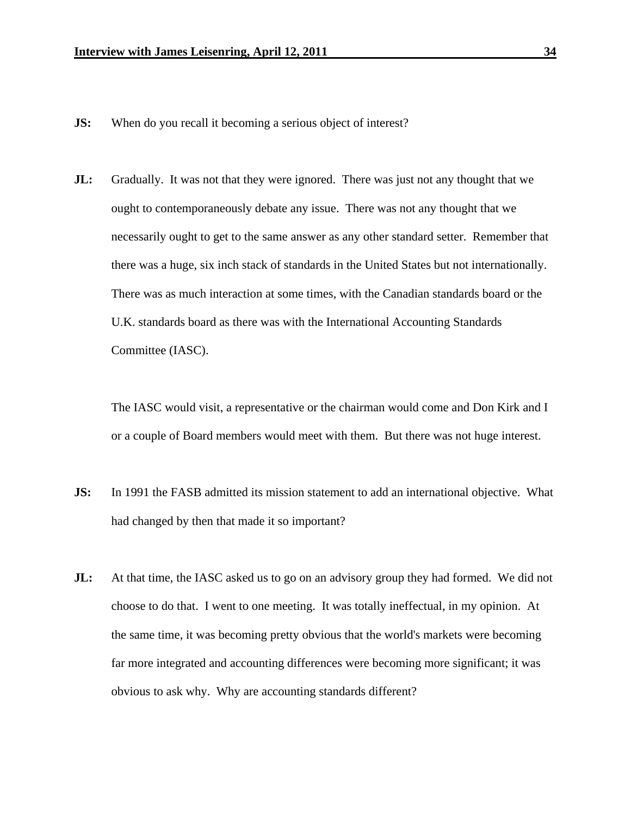- **JS:** When do you recall it becoming a serious object of interest?
- **JL:** Gradually. It was not that they were ignored. There was just not any thought that we ought to contemporaneously debate any issue. There was not any thought that we necessarily ought to get to the same answer as any other standard setter. Remember that there was a huge, six inch stack of standards in the United States but not internationally. There was as much interaction at some times, with the Canadian standards board or the U.K. standards board as there was with the International Accounting Standards Committee (IASC).

 The IASC would visit, a representative or the chairman would come and Don Kirk and I or a couple of Board members would meet with them. But there was not huge interest.

- **JS:** In 1991 the FASB admitted its mission statement to add an international objective. What had changed by then that made it so important?
- **JL:** At that time, the IASC asked us to go on an advisory group they had formed. We did not choose to do that. I went to one meeting. It was totally ineffectual, in my opinion. At the same time, it was becoming pretty obvious that the world's markets were becoming far more integrated and accounting differences were becoming more significant; it was obvious to ask why. Why are accounting standards different?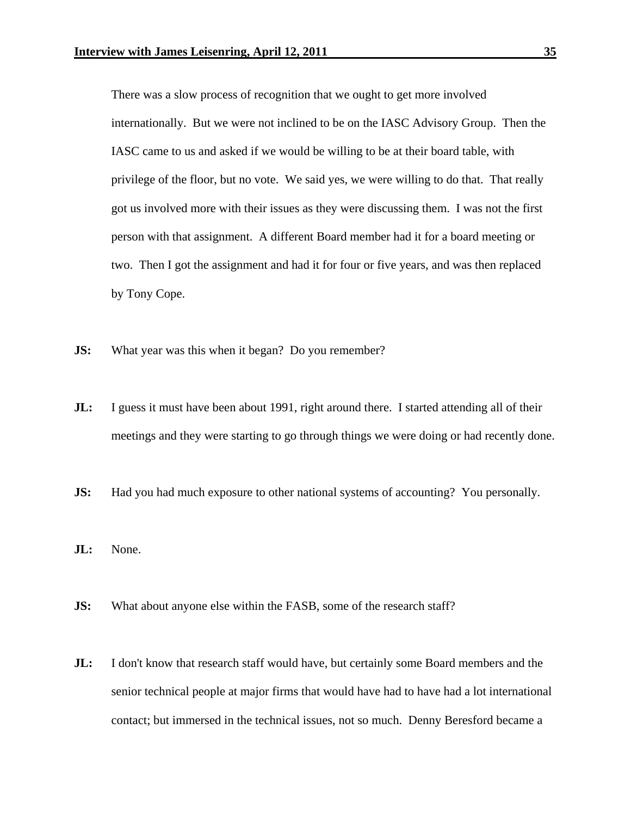There was a slow process of recognition that we ought to get more involved internationally. But we were not inclined to be on the IASC Advisory Group. Then the IASC came to us and asked if we would be willing to be at their board table, with privilege of the floor, but no vote. We said yes, we were willing to do that. That really got us involved more with their issues as they were discussing them. I was not the first person with that assignment. A different Board member had it for a board meeting or two. Then I got the assignment and had it for four or five years, and was then replaced by Tony Cope.

- **JS:** What year was this when it began? Do you remember?
- **JL:** I guess it must have been about 1991, right around there. I started attending all of their meetings and they were starting to go through things we were doing or had recently done.
- **JS:** Had you had much exposure to other national systems of accounting? You personally.
- **JL:** None.
- **JS:** What about anyone else within the FASB, some of the research staff?
- **JL:** I don't know that research staff would have, but certainly some Board members and the senior technical people at major firms that would have had to have had a lot international contact; but immersed in the technical issues, not so much. Denny Beresford became a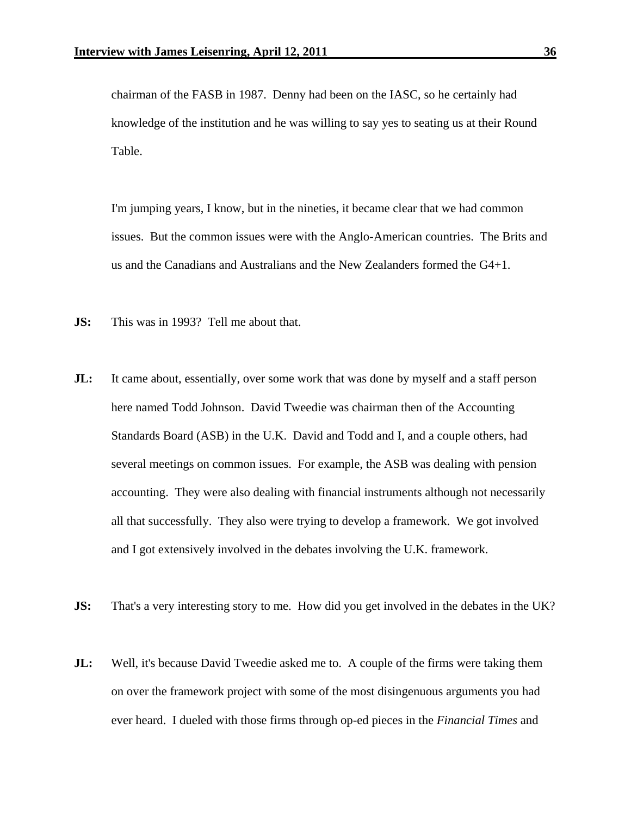chairman of the FASB in 1987. Denny had been on the IASC, so he certainly had knowledge of the institution and he was willing to say yes to seating us at their Round Table.

 I'm jumping years, I know, but in the nineties, it became clear that we had common issues. But the common issues were with the Anglo-American countries. The Brits and us and the Canadians and Australians and the New Zealanders formed the G4+1.

- **JS:** This was in 1993? Tell me about that.
- **JL:** It came about, essentially, over some work that was done by myself and a staff person here named Todd Johnson. David Tweedie was chairman then of the Accounting Standards Board (ASB) in the U.K. David and Todd and I, and a couple others, had several meetings on common issues. For example, the ASB was dealing with pension accounting. They were also dealing with financial instruments although not necessarily all that successfully. They also were trying to develop a framework. We got involved and I got extensively involved in the debates involving the U.K. framework.
- **JS:** That's a very interesting story to me. How did you get involved in the debates in the UK?
- **JL:** Well, it's because David Tweedie asked me to. A couple of the firms were taking them on over the framework project with some of the most disingenuous arguments you had ever heard. I dueled with those firms through op-ed pieces in the *Financial Times* and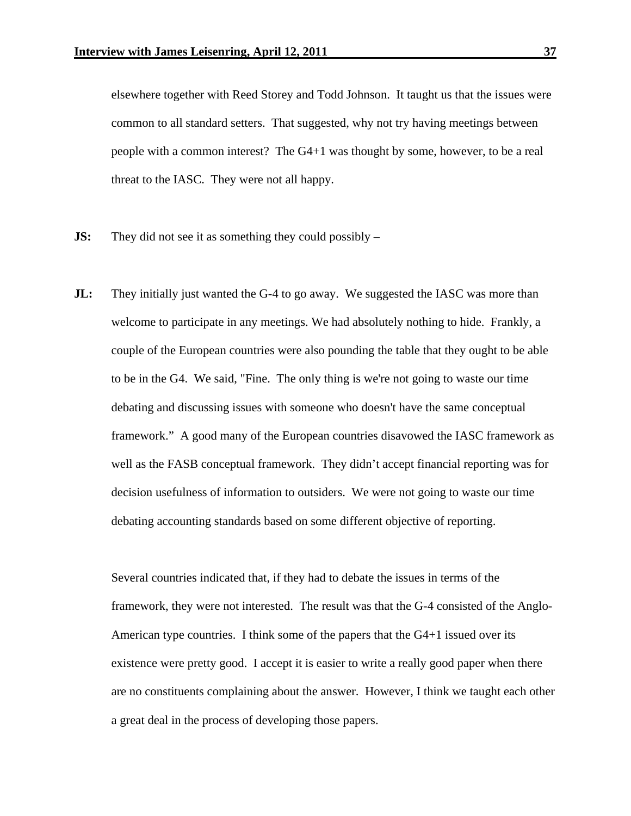elsewhere together with Reed Storey and Todd Johnson. It taught us that the issues were common to all standard setters. That suggested, why not try having meetings between people with a common interest? The G4+1 was thought by some, however, to be a real threat to the IASC. They were not all happy.

- **JS:** They did not see it as something they could possibly –
- **JL:** They initially just wanted the G-4 to go away. We suggested the IASC was more than welcome to participate in any meetings. We had absolutely nothing to hide. Frankly, a couple of the European countries were also pounding the table that they ought to be able to be in the G4. We said, "Fine. The only thing is we're not going to waste our time debating and discussing issues with someone who doesn't have the same conceptual framework." A good many of the European countries disavowed the IASC framework as well as the FASB conceptual framework. They didn't accept financial reporting was for decision usefulness of information to outsiders. We were not going to waste our time debating accounting standards based on some different objective of reporting.

Several countries indicated that, if they had to debate the issues in terms of the framework, they were not interested. The result was that the G-4 consisted of the Anglo-American type countries. I think some of the papers that the G4+1 issued over its existence were pretty good. I accept it is easier to write a really good paper when there are no constituents complaining about the answer. However, I think we taught each other a great deal in the process of developing those papers.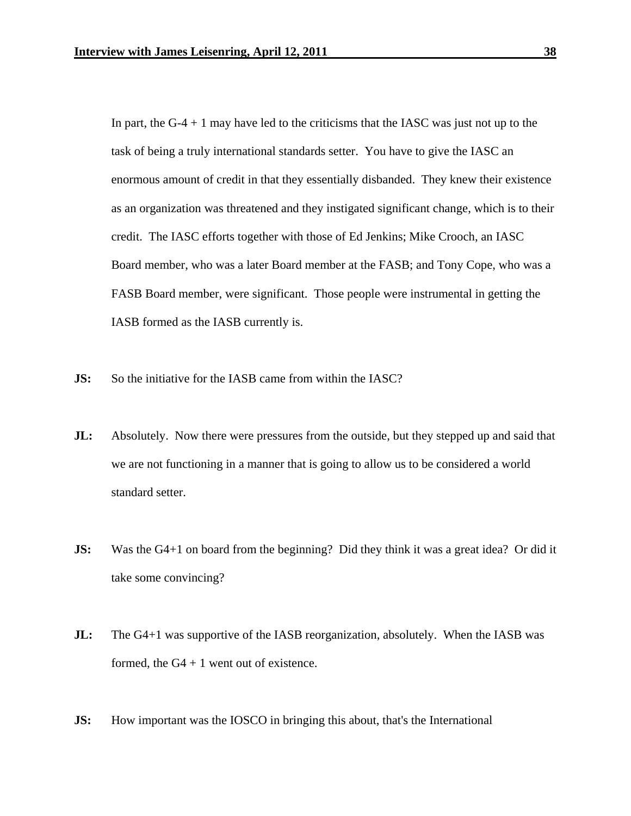In part, the  $G-4 + 1$  may have led to the criticisms that the IASC was just not up to the task of being a truly international standards setter. You have to give the IASC an enormous amount of credit in that they essentially disbanded. They knew their existence as an organization was threatened and they instigated significant change, which is to their credit. The IASC efforts together with those of Ed Jenkins; Mike Crooch, an IASC Board member, who was a later Board member at the FASB; and Tony Cope, who was a FASB Board member, were significant. Those people were instrumental in getting the IASB formed as the IASB currently is.

- **JS:** So the initiative for the IASB came from within the IASC?
- **JL:** Absolutely. Now there were pressures from the outside, but they stepped up and said that we are not functioning in a manner that is going to allow us to be considered a world standard setter.
- **JS:** Was the G4+1 on board from the beginning? Did they think it was a great idea? Or did it take some convincing?
- **JL:** The G4+1 was supportive of the IASB reorganization, absolutely. When the IASB was formed, the  $G4 + 1$  went out of existence.
- **JS:** How important was the IOSCO in bringing this about, that's the International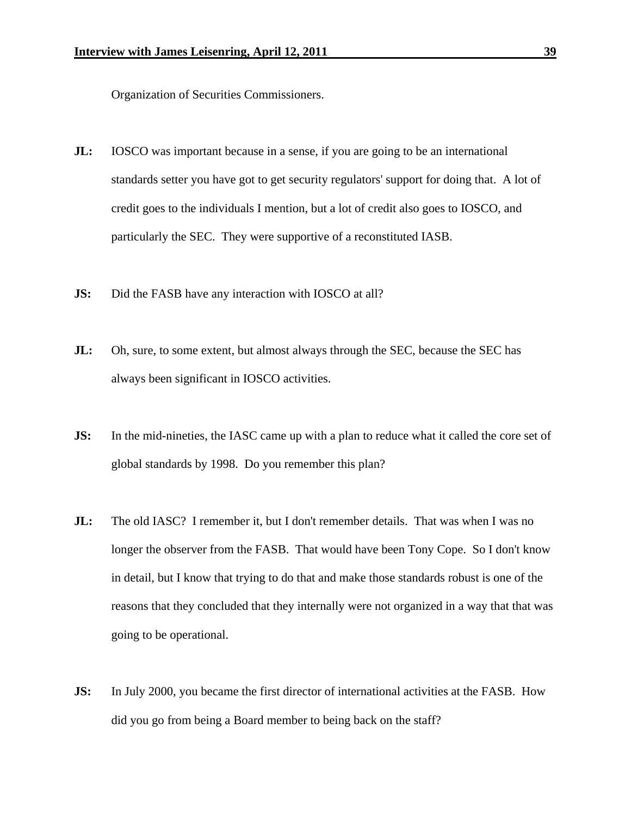Organization of Securities Commissioners.

- **JL:** IOSCO was important because in a sense, if you are going to be an international standards setter you have got to get security regulators' support for doing that. A lot of credit goes to the individuals I mention, but a lot of credit also goes to IOSCO, and particularly the SEC. They were supportive of a reconstituted IASB.
- **JS:** Did the FASB have any interaction with IOSCO at all?
- **JL:** Oh, sure, to some extent, but almost always through the SEC, because the SEC has always been significant in IOSCO activities.
- **JS:** In the mid-nineties, the IASC came up with a plan to reduce what it called the core set of global standards by 1998. Do you remember this plan?
- **JL:** The old IASC? I remember it, but I don't remember details. That was when I was no longer the observer from the FASB. That would have been Tony Cope. So I don't know in detail, but I know that trying to do that and make those standards robust is one of the reasons that they concluded that they internally were not organized in a way that that was going to be operational.
- **JS:** In July 2000, you became the first director of international activities at the FASB. How did you go from being a Board member to being back on the staff?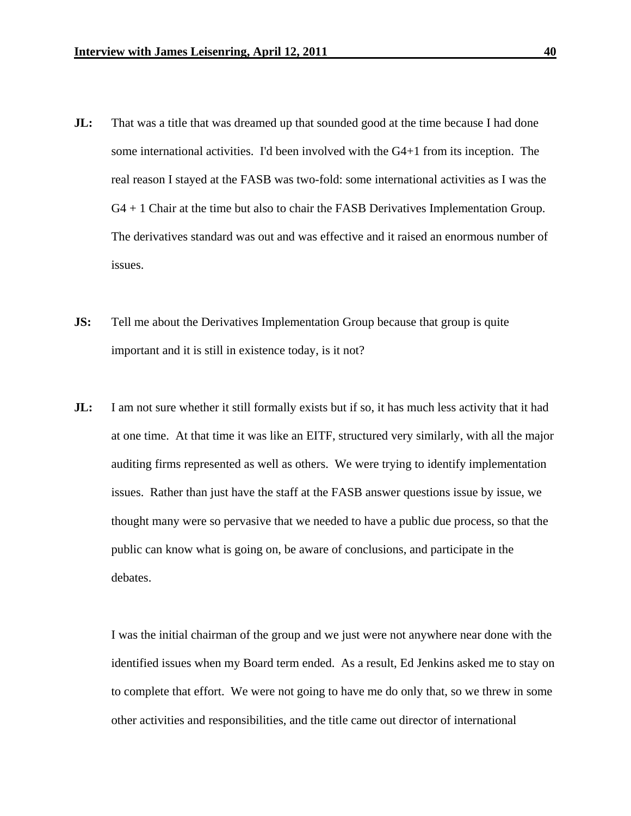- **JL:** That was a title that was dreamed up that sounded good at the time because I had done some international activities. I'd been involved with the G4+1 from its inception. The real reason I stayed at the FASB was two-fold: some international activities as I was the G4 + 1 Chair at the time but also to chair the FASB Derivatives Implementation Group. The derivatives standard was out and was effective and it raised an enormous number of issues.
- **JS:** Tell me about the Derivatives Implementation Group because that group is quite important and it is still in existence today, is it not?
- **JL:** I am not sure whether it still formally exists but if so, it has much less activity that it had at one time. At that time it was like an EITF, structured very similarly, with all the major auditing firms represented as well as others. We were trying to identify implementation issues. Rather than just have the staff at the FASB answer questions issue by issue, we thought many were so pervasive that we needed to have a public due process, so that the public can know what is going on, be aware of conclusions, and participate in the debates.

I was the initial chairman of the group and we just were not anywhere near done with the identified issues when my Board term ended. As a result, Ed Jenkins asked me to stay on to complete that effort. We were not going to have me do only that, so we threw in some other activities and responsibilities, and the title came out director of international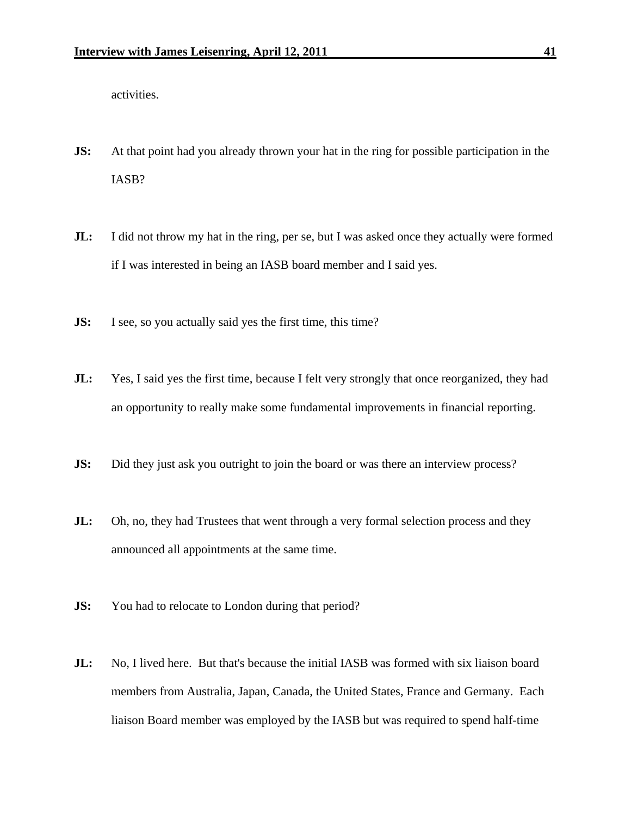activities.

- **JS:** At that point had you already thrown your hat in the ring for possible participation in the IASB?
- **JL:** I did not throw my hat in the ring, per se, but I was asked once they actually were formed if I was interested in being an IASB board member and I said yes.
- **JS:** I see, so you actually said yes the first time, this time?
- **JL:** Yes, I said yes the first time, because I felt very strongly that once reorganized, they had an opportunity to really make some fundamental improvements in financial reporting.
- **JS:** Did they just ask you outright to join the board or was there an interview process?
- **JL:** Oh, no, they had Trustees that went through a very formal selection process and they announced all appointments at the same time.
- **JS:** You had to relocate to London during that period?
- **JL:** No, I lived here. But that's because the initial IASB was formed with six liaison board members from Australia, Japan, Canada, the United States, France and Germany. Each liaison Board member was employed by the IASB but was required to spend half-time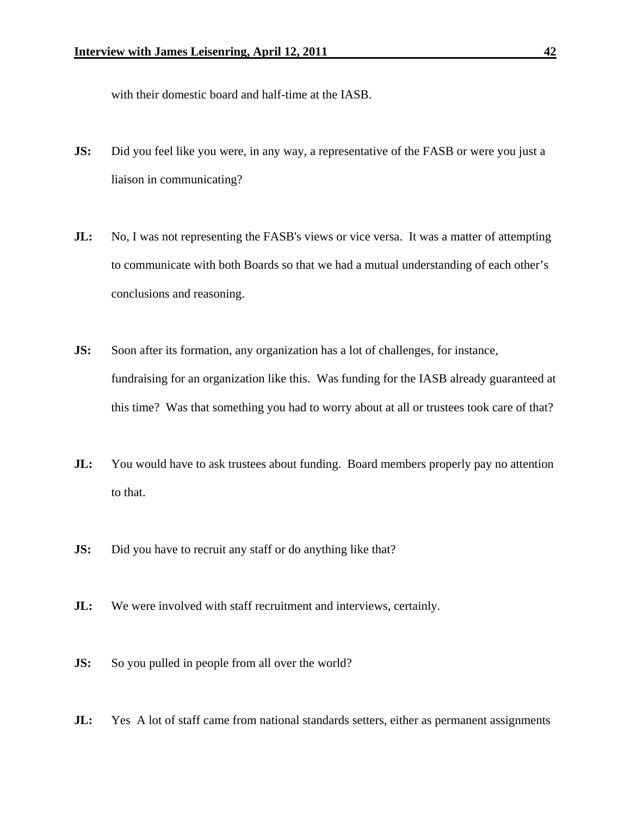with their domestic board and half-time at the IASB.

- **JS:** Did you feel like you were, in any way, a representative of the FASB or were you just a liaison in communicating?
- **JL:** No, I was not representing the FASB's views or vice versa. It was a matter of attempting to communicate with both Boards so that we had a mutual understanding of each other's conclusions and reasoning.
- **JS:** Soon after its formation, any organization has a lot of challenges, for instance, fundraising for an organization like this. Was funding for the IASB already guaranteed at this time? Was that something you had to worry about at all or trustees took care of that?
- **JL:** You would have to ask trustees about funding. Board members properly pay no attention to that.
- **JS:** Did you have to recruit any staff or do anything like that?
- **JL:** We were involved with staff recruitment and interviews, certainly.
- **JS:** So you pulled in people from all over the world?
- **JL:** Yes A lot of staff came from national standards setters, either as permanent assignments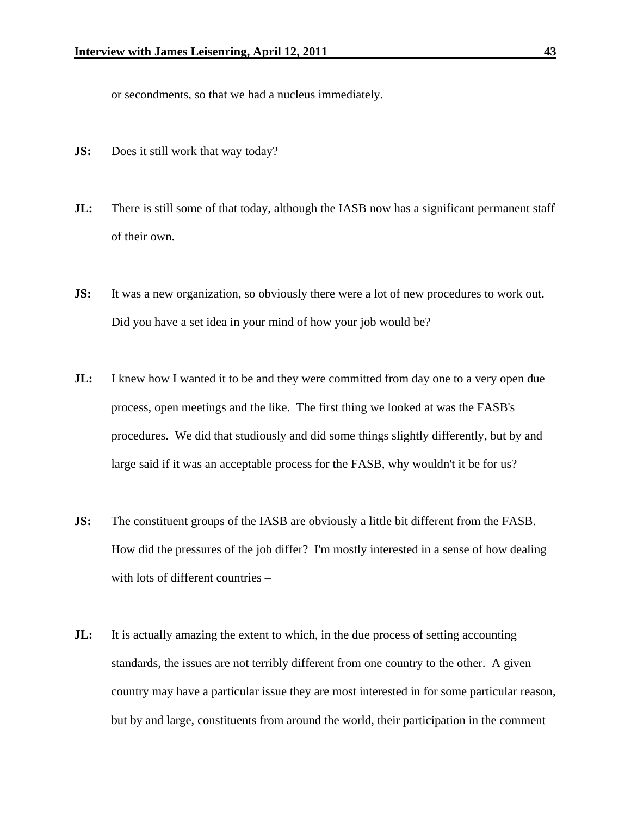or secondments, so that we had a nucleus immediately.

- **JS:** Does it still work that way today?
- **JL:** There is still some of that today, although the IASB now has a significant permanent staff of their own.
- **JS:** It was a new organization, so obviously there were a lot of new procedures to work out. Did you have a set idea in your mind of how your job would be?
- **JL:** I knew how I wanted it to be and they were committed from day one to a very open due process, open meetings and the like. The first thing we looked at was the FASB's procedures. We did that studiously and did some things slightly differently, but by and large said if it was an acceptable process for the FASB, why wouldn't it be for us?
- **JS:** The constituent groups of the IASB are obviously a little bit different from the FASB. How did the pressures of the job differ? I'm mostly interested in a sense of how dealing with lots of different countries –
- **JL:** It is actually amazing the extent to which, in the due process of setting accounting standards, the issues are not terribly different from one country to the other. A given country may have a particular issue they are most interested in for some particular reason, but by and large, constituents from around the world, their participation in the comment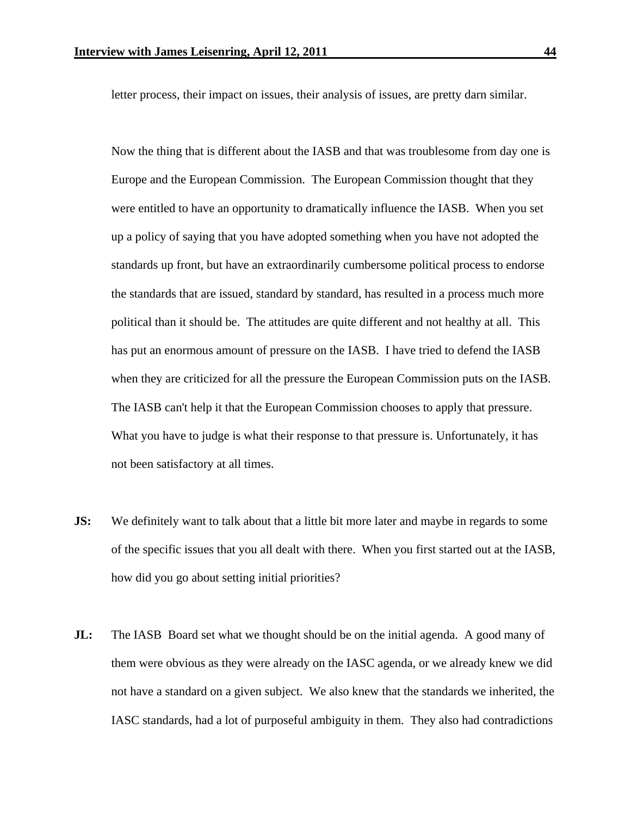letter process, their impact on issues, their analysis of issues, are pretty darn similar.

Now the thing that is different about the IASB and that was troublesome from day one is Europe and the European Commission. The European Commission thought that they were entitled to have an opportunity to dramatically influence the IASB. When you set up a policy of saying that you have adopted something when you have not adopted the standards up front, but have an extraordinarily cumbersome political process to endorse the standards that are issued, standard by standard, has resulted in a process much more political than it should be. The attitudes are quite different and not healthy at all. This has put an enormous amount of pressure on the IASB. I have tried to defend the IASB when they are criticized for all the pressure the European Commission puts on the IASB. The IASB can't help it that the European Commission chooses to apply that pressure. What you have to judge is what their response to that pressure is. Unfortunately, it has not been satisfactory at all times.

- **JS:** We definitely want to talk about that a little bit more later and maybe in regards to some of the specific issues that you all dealt with there. When you first started out at the IASB, how did you go about setting initial priorities?
- **JL:** The IASB Board set what we thought should be on the initial agenda. A good many of them were obvious as they were already on the IASC agenda, or we already knew we did not have a standard on a given subject. We also knew that the standards we inherited, the IASC standards, had a lot of purposeful ambiguity in them. They also had contradictions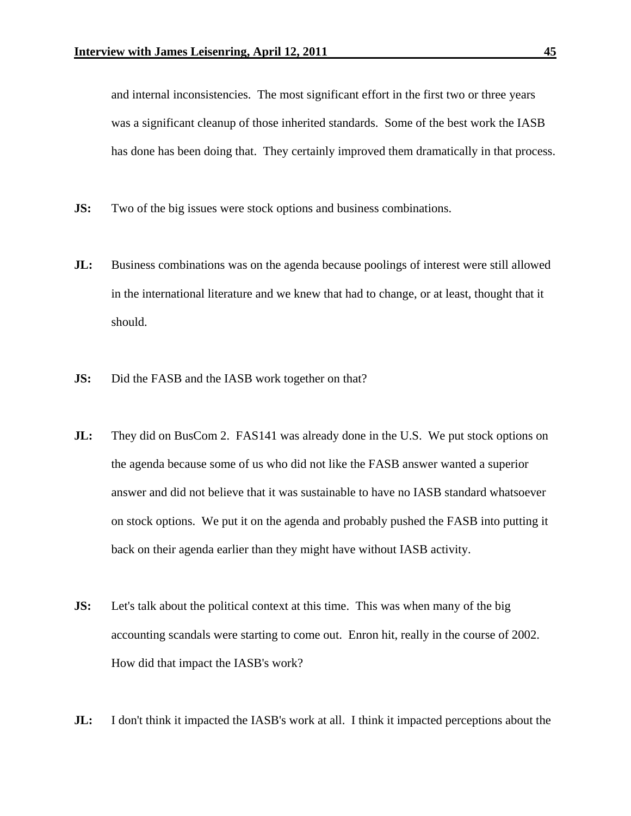and internal inconsistencies. The most significant effort in the first two or three years was a significant cleanup of those inherited standards. Some of the best work the IASB has done has been doing that. They certainly improved them dramatically in that process.

- **JS:** Two of the big issues were stock options and business combinations.
- **JL:** Business combinations was on the agenda because poolings of interest were still allowed in the international literature and we knew that had to change, or at least, thought that it should.
- **JS:** Did the FASB and the IASB work together on that?
- **JL:** They did on BusCom 2. FAS141 was already done in the U.S. We put stock options on the agenda because some of us who did not like the FASB answer wanted a superior answer and did not believe that it was sustainable to have no IASB standard whatsoever on stock options. We put it on the agenda and probably pushed the FASB into putting it back on their agenda earlier than they might have without IASB activity.
- **JS:** Let's talk about the political context at this time. This was when many of the big accounting scandals were starting to come out. Enron hit, really in the course of 2002. How did that impact the IASB's work?
- **JL:** I don't think it impacted the IASB's work at all. I think it impacted perceptions about the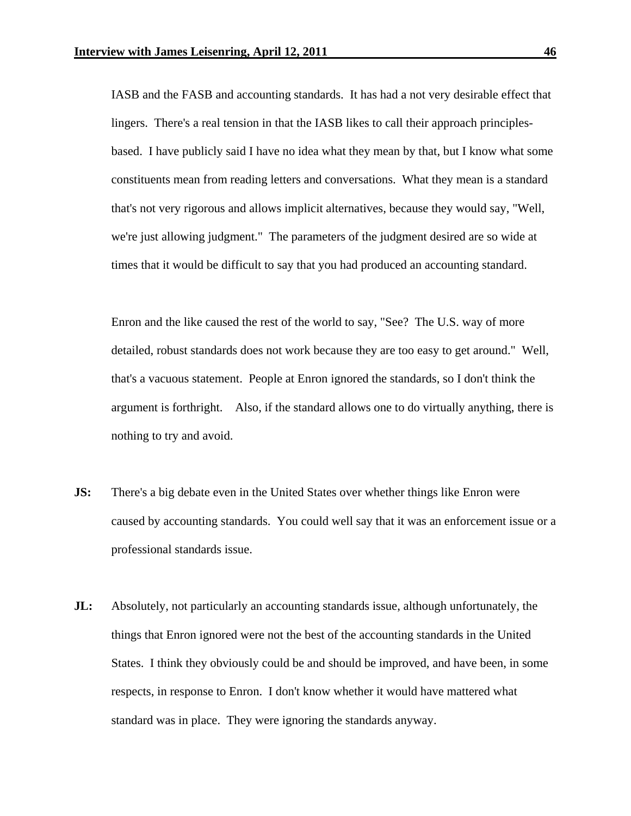IASB and the FASB and accounting standards. It has had a not very desirable effect that lingers. There's a real tension in that the IASB likes to call their approach principlesbased. I have publicly said I have no idea what they mean by that, but I know what some constituents mean from reading letters and conversations. What they mean is a standard that's not very rigorous and allows implicit alternatives, because they would say, "Well, we're just allowing judgment." The parameters of the judgment desired are so wide at times that it would be difficult to say that you had produced an accounting standard.

Enron and the like caused the rest of the world to say, "See? The U.S. way of more detailed, robust standards does not work because they are too easy to get around." Well, that's a vacuous statement. People at Enron ignored the standards, so I don't think the argument is forthright. Also, if the standard allows one to do virtually anything, there is nothing to try and avoid.

- **JS:** There's a big debate even in the United States over whether things like Enron were caused by accounting standards. You could well say that it was an enforcement issue or a professional standards issue.
- **JL:** Absolutely, not particularly an accounting standards issue, although unfortunately, the things that Enron ignored were not the best of the accounting standards in the United States. I think they obviously could be and should be improved, and have been, in some respects, in response to Enron. I don't know whether it would have mattered what standard was in place. They were ignoring the standards anyway.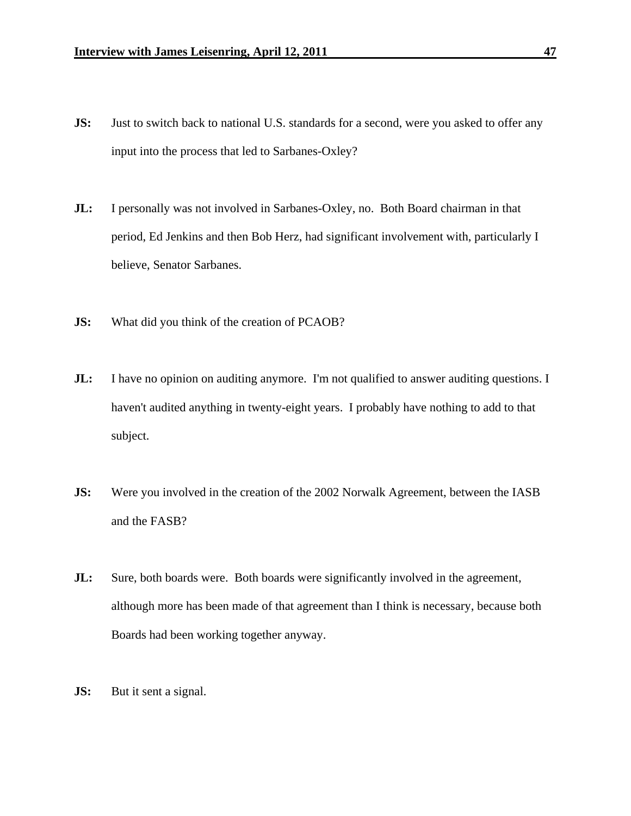- **JS:** Just to switch back to national U.S. standards for a second, were you asked to offer any input into the process that led to Sarbanes-Oxley?
- **JL:** I personally was not involved in Sarbanes-Oxley, no. Both Board chairman in that period, Ed Jenkins and then Bob Herz, had significant involvement with, particularly I believe, Senator Sarbanes.
- **JS:** What did you think of the creation of PCAOB?
- **JL:** I have no opinion on auditing anymore. I'm not qualified to answer auditing questions. I haven't audited anything in twenty-eight years. I probably have nothing to add to that subject.
- **JS:** Were you involved in the creation of the 2002 Norwalk Agreement, between the IASB and the FASB?
- **JL:** Sure, both boards were. Both boards were significantly involved in the agreement, although more has been made of that agreement than I think is necessary, because both Boards had been working together anyway.
- **JS:** But it sent a signal.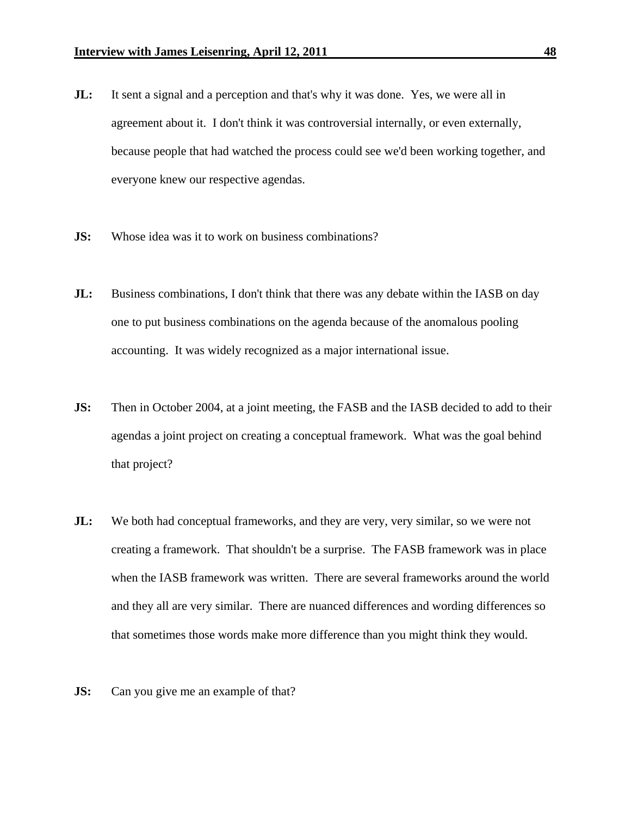- **JL:** It sent a signal and a perception and that's why it was done. Yes, we were all in agreement about it. I don't think it was controversial internally, or even externally, because people that had watched the process could see we'd been working together, and everyone knew our respective agendas.
- **JS:** Whose idea was it to work on business combinations?
- **JL:** Business combinations, I don't think that there was any debate within the IASB on day one to put business combinations on the agenda because of the anomalous pooling accounting. It was widely recognized as a major international issue.
- **JS:** Then in October 2004, at a joint meeting, the FASB and the IASB decided to add to their agendas a joint project on creating a conceptual framework. What was the goal behind that project?
- **JL:** We both had conceptual frameworks, and they are very, very similar, so we were not creating a framework. That shouldn't be a surprise. The FASB framework was in place when the IASB framework was written. There are several frameworks around the world and they all are very similar. There are nuanced differences and wording differences so that sometimes those words make more difference than you might think they would.
- **JS:** Can you give me an example of that?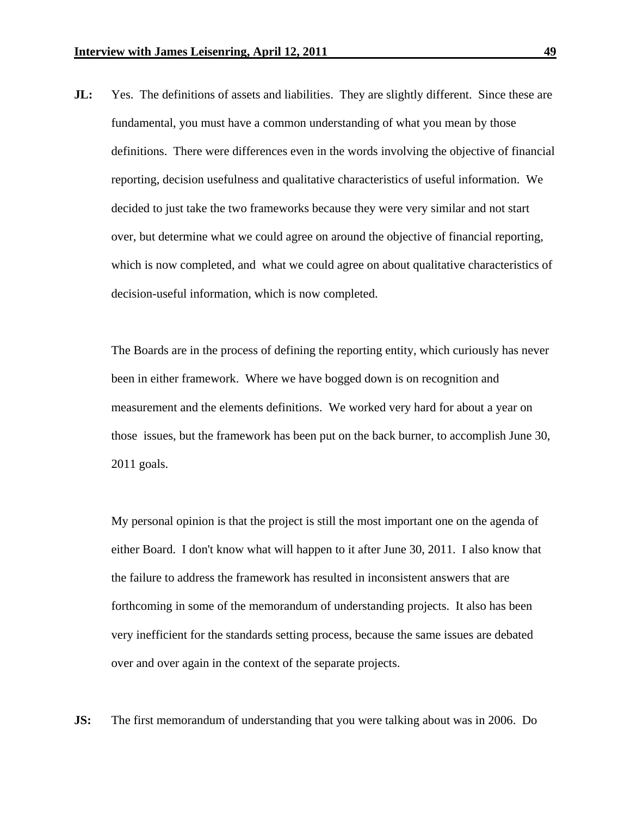**JL:** Yes. The definitions of assets and liabilities. They are slightly different. Since these are fundamental, you must have a common understanding of what you mean by those definitions. There were differences even in the words involving the objective of financial reporting, decision usefulness and qualitative characteristics of useful information. We decided to just take the two frameworks because they were very similar and not start over, but determine what we could agree on around the objective of financial reporting, which is now completed, and what we could agree on about qualitative characteristics of decision-useful information, which is now completed.

The Boards are in the process of defining the reporting entity, which curiously has never been in either framework. Where we have bogged down is on recognition and measurement and the elements definitions. We worked very hard for about a year on those issues, but the framework has been put on the back burner, to accomplish June 30, 2011 goals.

My personal opinion is that the project is still the most important one on the agenda of either Board. I don't know what will happen to it after June 30, 2011. I also know that the failure to address the framework has resulted in inconsistent answers that are forthcoming in some of the memorandum of understanding projects. It also has been very inefficient for the standards setting process, because the same issues are debated over and over again in the context of the separate projects.

**JS:** The first memorandum of understanding that you were talking about was in 2006. Do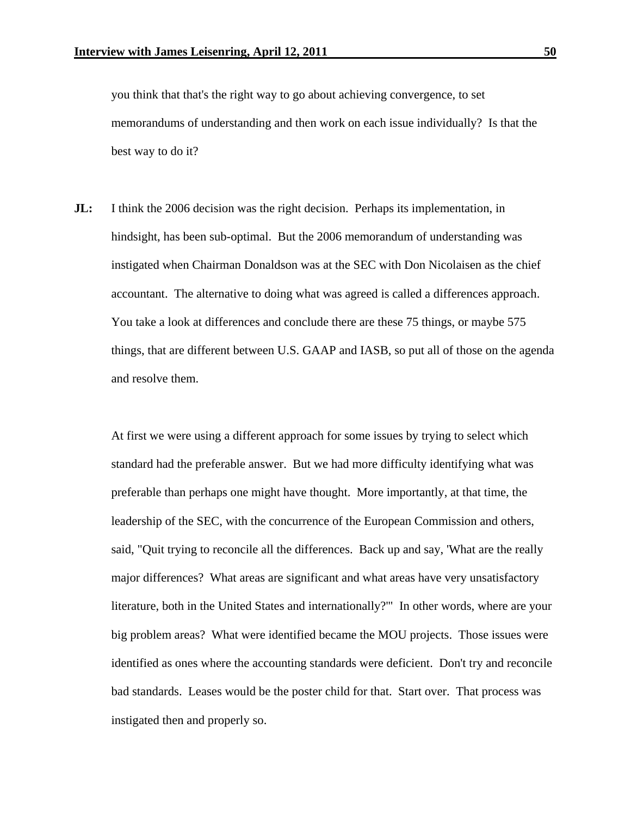you think that that's the right way to go about achieving convergence, to set memorandums of understanding and then work on each issue individually? Is that the best way to do it?

**JL:** I think the 2006 decision was the right decision. Perhaps its implementation, in hindsight, has been sub-optimal. But the 2006 memorandum of understanding was instigated when Chairman Donaldson was at the SEC with Don Nicolaisen as the chief accountant. The alternative to doing what was agreed is called a differences approach. You take a look at differences and conclude there are these 75 things, or maybe 575 things, that are different between U.S. GAAP and IASB, so put all of those on the agenda and resolve them.

At first we were using a different approach for some issues by trying to select which standard had the preferable answer. But we had more difficulty identifying what was preferable than perhaps one might have thought. More importantly, at that time, the leadership of the SEC, with the concurrence of the European Commission and others, said, "Quit trying to reconcile all the differences. Back up and say, 'What are the really major differences? What areas are significant and what areas have very unsatisfactory literature, both in the United States and internationally?'" In other words, where are your big problem areas? What were identified became the MOU projects. Those issues were identified as ones where the accounting standards were deficient. Don't try and reconcile bad standards. Leases would be the poster child for that. Start over. That process was instigated then and properly so.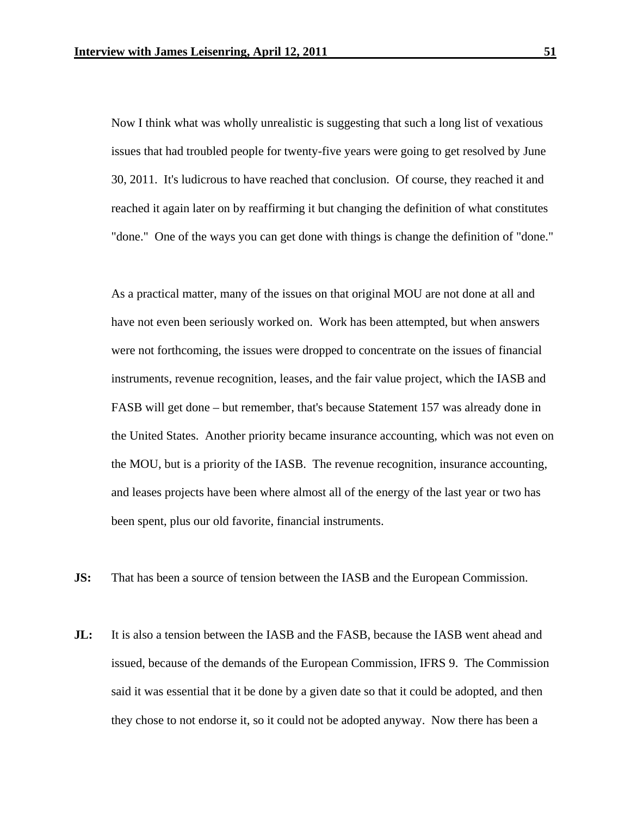Now I think what was wholly unrealistic is suggesting that such a long list of vexatious issues that had troubled people for twenty-five years were going to get resolved by June 30, 2011. It's ludicrous to have reached that conclusion. Of course, they reached it and reached it again later on by reaffirming it but changing the definition of what constitutes "done." One of the ways you can get done with things is change the definition of "done."

As a practical matter, many of the issues on that original MOU are not done at all and have not even been seriously worked on. Work has been attempted, but when answers were not forthcoming, the issues were dropped to concentrate on the issues of financial instruments, revenue recognition, leases, and the fair value project, which the IASB and FASB will get done – but remember, that's because Statement 157 was already done in the United States. Another priority became insurance accounting, which was not even on the MOU, but is a priority of the IASB. The revenue recognition, insurance accounting, and leases projects have been where almost all of the energy of the last year or two has been spent, plus our old favorite, financial instruments.

- **JS:** That has been a source of tension between the IASB and the European Commission.
- **JL:** It is also a tension between the IASB and the FASB, because the IASB went ahead and issued, because of the demands of the European Commission, IFRS 9. The Commission said it was essential that it be done by a given date so that it could be adopted, and then they chose to not endorse it, so it could not be adopted anyway. Now there has been a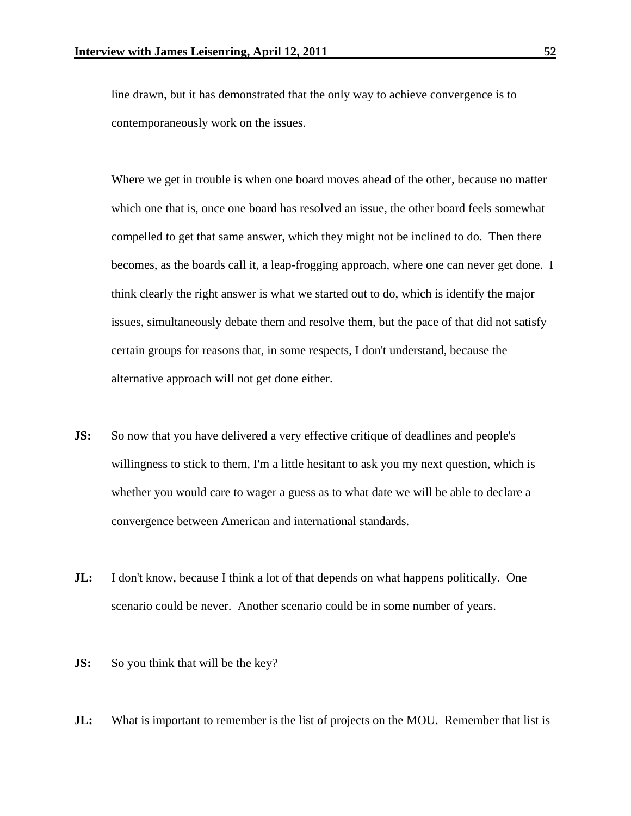line drawn, but it has demonstrated that the only way to achieve convergence is to contemporaneously work on the issues.

Where we get in trouble is when one board moves ahead of the other, because no matter which one that is, once one board has resolved an issue, the other board feels somewhat compelled to get that same answer, which they might not be inclined to do. Then there becomes, as the boards call it, a leap-frogging approach, where one can never get done. I think clearly the right answer is what we started out to do, which is identify the major issues, simultaneously debate them and resolve them, but the pace of that did not satisfy certain groups for reasons that, in some respects, I don't understand, because the alternative approach will not get done either.

- **JS:** So now that you have delivered a very effective critique of deadlines and people's willingness to stick to them, I'm a little hesitant to ask you my next question, which is whether you would care to wager a guess as to what date we will be able to declare a convergence between American and international standards.
- **JL:** I don't know, because I think a lot of that depends on what happens politically. One scenario could be never. Another scenario could be in some number of years.
- **JS:** So you think that will be the key?
- **JL:** What is important to remember is the list of projects on the MOU. Remember that list is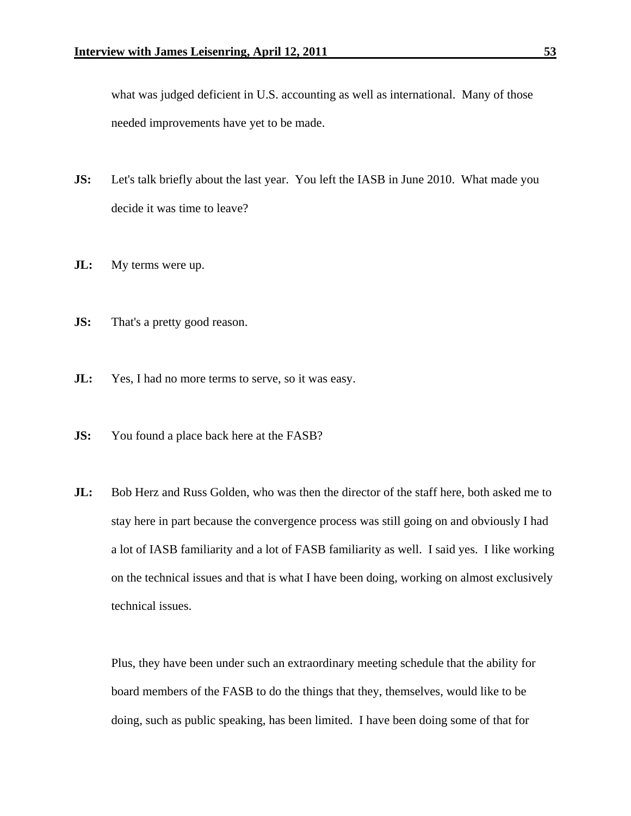what was judged deficient in U.S. accounting as well as international. Many of those needed improvements have yet to be made.

- **JS:** Let's talk briefly about the last year. You left the IASB in June 2010. What made you decide it was time to leave?
- **JL:** My terms were up.
- **JS:** That's a pretty good reason.
- **JL:** Yes, I had no more terms to serve, so it was easy.
- **JS:** You found a place back here at the FASB?
- **JL:** Bob Herz and Russ Golden, who was then the director of the staff here, both asked me to stay here in part because the convergence process was still going on and obviously I had a lot of IASB familiarity and a lot of FASB familiarity as well. I said yes. I like working on the technical issues and that is what I have been doing, working on almost exclusively technical issues.

Plus, they have been under such an extraordinary meeting schedule that the ability for board members of the FASB to do the things that they, themselves, would like to be doing, such as public speaking, has been limited. I have been doing some of that for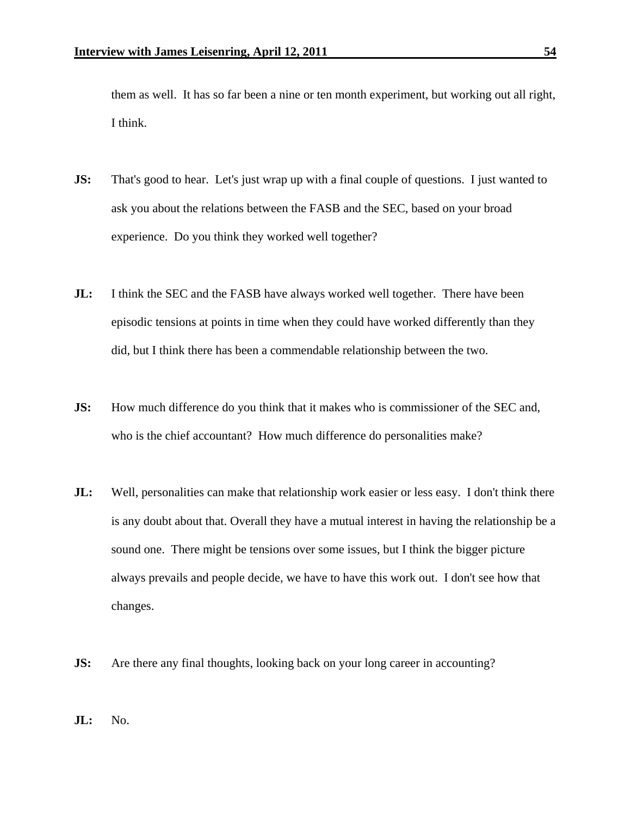them as well. It has so far been a nine or ten month experiment, but working out all right, I think.

- **JS:** That's good to hear. Let's just wrap up with a final couple of questions. I just wanted to ask you about the relations between the FASB and the SEC, based on your broad experience. Do you think they worked well together?
- **JL:** I think the SEC and the FASB have always worked well together. There have been episodic tensions at points in time when they could have worked differently than they did, but I think there has been a commendable relationship between the two.
- **JS:** How much difference do you think that it makes who is commissioner of the SEC and, who is the chief accountant? How much difference do personalities make?
- **JL:** Well, personalities can make that relationship work easier or less easy. I don't think there is any doubt about that. Overall they have a mutual interest in having the relationship be a sound one. There might be tensions over some issues, but I think the bigger picture always prevails and people decide, we have to have this work out. I don't see how that changes.
- **JS:** Are there any final thoughts, looking back on your long career in accounting?
- **JL:** No.